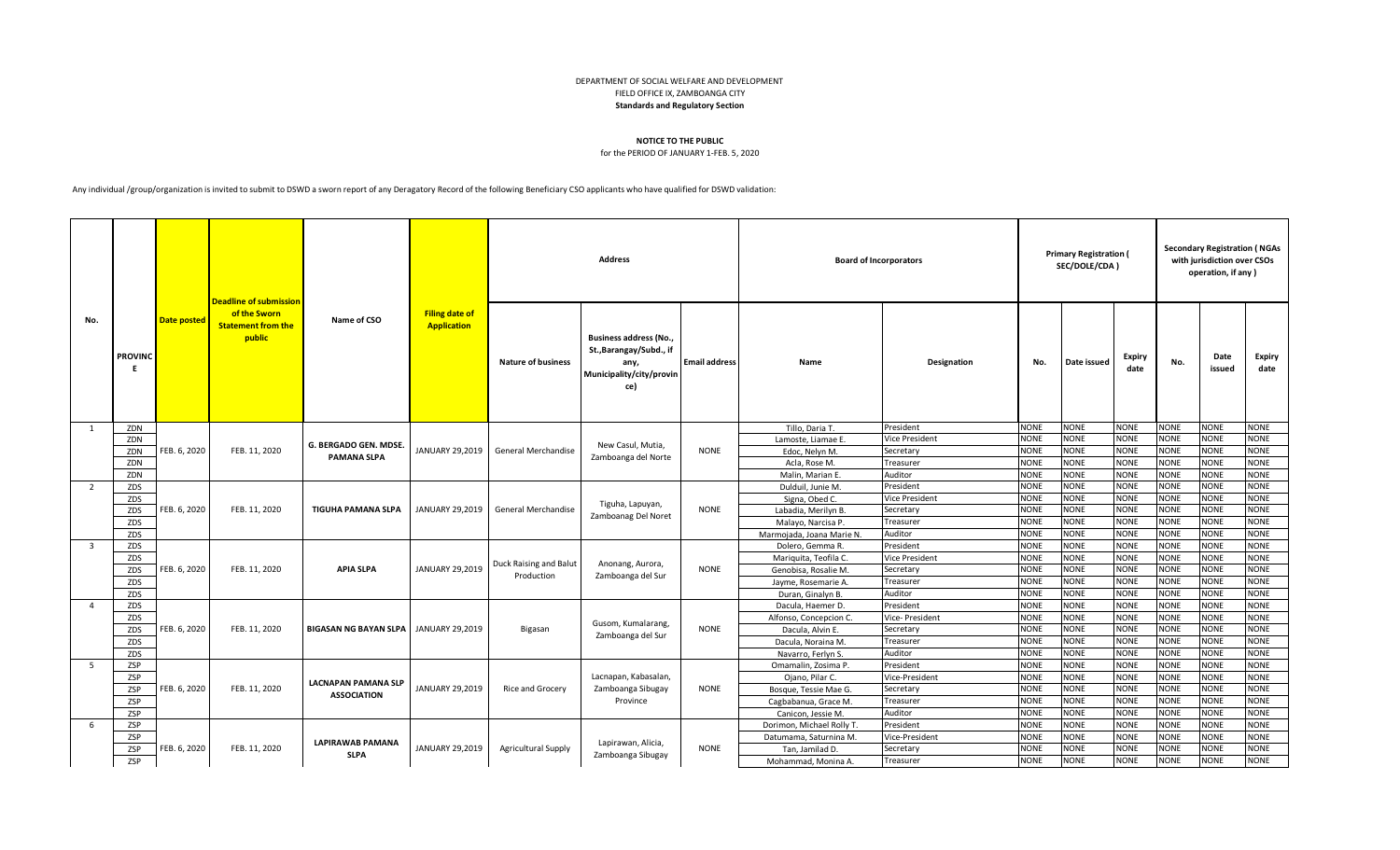## DEPARTMENT OF SOCIAL WELFARE AND DEVELOPMENT FIELD OFFICE IX, ZAMBOANGA CITY **Standards and Regulatory Section**

## **NOTICE TO THE PUBLIC**

for the PERIOD OF JANUARY 1-FEB. 5, 2020

Any individual /group/organization is invited to submit to DSWD a sworn report of any Deragatory Record of the following Beneficiary CSO applicants who have qualified for DSWD validation:

|                         |                |                    | <b>Deadline of submission</b>                       |                              |                                             |                            | <b>Address</b>                                                                                      |                      |                           | <b>Board of Incorporators</b> |             | <b>Primary Registration (</b><br>SEC/DOLE/CDA) |                       |             | <b>Secondary Registration (NGAs</b><br>with jurisdiction over CSOs<br>operation, if any) |                |
|-------------------------|----------------|--------------------|-----------------------------------------------------|------------------------------|---------------------------------------------|----------------------------|-----------------------------------------------------------------------------------------------------|----------------------|---------------------------|-------------------------------|-------------|------------------------------------------------|-----------------------|-------------|------------------------------------------------------------------------------------------|----------------|
| No.                     | <b>PROVINC</b> | <b>Date posted</b> | of the Sworn<br><b>Statement from the</b><br>public | Name of CSO                  | <b>Filing date of</b><br><b>Application</b> | <b>Nature of business</b>  | <b>Business address (No.,</b><br>St., Barangay/Subd., if<br>any,<br>Municipality/city/provin<br>ce) | <b>Email address</b> | Name                      | Designation                   | No.         | Date issued                                    | <b>Expiry</b><br>date | No.         | Date<br>issued                                                                           | Expiry<br>date |
| 1                       | ZDN            |                    |                                                     |                              |                                             |                            |                                                                                                     |                      | Tillo. Daria T.           | President                     | <b>NONE</b> | <b>NONE</b>                                    | <b>NONE</b>           | NONE        | <b>NONE</b>                                                                              | <b>NONE</b>    |
|                         | ZDN            |                    |                                                     |                              |                                             |                            |                                                                                                     |                      | Lamoste, Liamae E         | <b>Vice President</b>         | <b>NONE</b> | <b>NONE</b>                                    | <b>NONE</b>           | <b>NONE</b> | <b>NONE</b>                                                                              | <b>NONE</b>    |
|                         | ZDN            | FEB. 6, 2020       | FEB. 11, 2020                                       | G. BERGADO GEN. MDSE.        | JANUARY 29,2019                             | <b>General Merchandise</b> | New Casul, Mutia,                                                                                   | <b>NONE</b>          | Edoc, Nelyn M.            | Secretary                     | <b>NONE</b> | <b>NONE</b>                                    | <b>NONE</b>           | <b>NONE</b> | NONE                                                                                     | <b>NONE</b>    |
|                         | ZDN            |                    |                                                     | <b>PAMANA SLPA</b>           |                                             |                            | Zamboanga del Norte                                                                                 |                      | Acla, Rose M.             | Treasurer                     | <b>NONE</b> | <b>NONE</b>                                    | <b>NONE</b>           | <b>NONE</b> | <b>NONE</b>                                                                              | <b>NONE</b>    |
|                         | ZDN            |                    |                                                     |                              |                                             |                            |                                                                                                     |                      | Malin, Marian E.          | Auditor                       | <b>NONE</b> | <b>NONE</b>                                    | <b>NONE</b>           | <b>NONE</b> | <b>NONE</b>                                                                              | <b>NONE</b>    |
| $\overline{2}$          | ZDS            |                    |                                                     |                              |                                             |                            |                                                                                                     |                      | Dulduil, Junie M          | President                     | <b>NONE</b> | <b>NONE</b>                                    | <b>NONE</b>           | <b>NONE</b> | <b>NONE</b>                                                                              | <b>NONE</b>    |
|                         | ZDS            |                    |                                                     |                              |                                             |                            |                                                                                                     |                      | Signa, Obed C.            | <b>Vice President</b>         | <b>NONE</b> | <b>NONE</b>                                    | <b>NONE</b>           | VONE        | NONE                                                                                     | <b>NONE</b>    |
|                         | ZDS            | FEB. 6, 2020       | FEB. 11, 2020                                       | <b>TIGUHA PAMANA SLPA</b>    | JANUARY 29,2019                             | General Merchandise        | Tiguha, Lapuyan,                                                                                    | <b>NONE</b>          | Labadia, Merilyn B.       | Secretary                     | <b>NONE</b> | <b>NONE</b>                                    | <b>NONE</b>           | <b>NONE</b> | <b>NONE</b>                                                                              | <b>NONE</b>    |
|                         | ZDS            |                    |                                                     |                              |                                             |                            | Zamboanag Del Noret                                                                                 |                      | Malayo, Narcisa P.        | Treasurer                     | <b>NONE</b> | <b>NONE</b>                                    | <b>NONE</b>           | <b>NONE</b> | <b>NONE</b>                                                                              | <b>NONE</b>    |
|                         | ZDS            |                    |                                                     |                              |                                             |                            |                                                                                                     |                      | Marmojada, Joana Marie N. | Auditor                       | <b>NONE</b> | <b>NONE</b>                                    | <b>NONE</b>           | <b>NONE</b> | <b>NONE</b>                                                                              | <b>NONE</b>    |
| $\overline{\mathbf{3}}$ | ZDS            |                    |                                                     |                              |                                             |                            |                                                                                                     |                      | Dolero, Gemma R.          | President                     | <b>NONE</b> | <b>NONE</b>                                    | <b>NONE</b>           | <b>NONE</b> | <b>NONE</b>                                                                              | <b>NONE</b>    |
|                         | ZDS            |                    |                                                     |                              |                                             |                            |                                                                                                     |                      | Mariquita, Teofila C.     | <b>Vice President</b>         | <b>NONE</b> | <b>NONE</b>                                    | <b>NONE</b>           | <b>NONE</b> | <b>NONE</b>                                                                              | <b>NONE</b>    |
|                         | ZDS            | FEB. 6, 2020       | FEB. 11, 2020                                       | <b>APIA SLPA</b>             | JANUARY 29,2019                             | Duck Raising and Balut     | Anonang, Aurora,                                                                                    | <b>NONE</b>          | Genobisa, Rosalie M.      | Secretary                     | <b>NONE</b> | <b>NONE</b>                                    | <b>NONE</b>           | NONE        | <b>NONE</b>                                                                              | <b>NONE</b>    |
|                         | ZDS            |                    |                                                     |                              |                                             | Production                 | Zamboanga del Sur                                                                                   |                      | Jayme, Rosemarie A.       | Treasurer                     | <b>NONE</b> | <b>NONE</b>                                    | <b>NONE</b>           | <b>NONE</b> | NONE                                                                                     | <b>NONE</b>    |
|                         | ZDS            |                    |                                                     |                              |                                             |                            |                                                                                                     |                      | Duran, Ginalyn B.         | Auditor                       | <b>NONE</b> | <b>NONE</b>                                    | <b>NONE</b>           | <b>NONE</b> | <b>NONE</b>                                                                              | <b>NONE</b>    |
| $\overline{4}$          | ZDS            |                    |                                                     |                              |                                             |                            |                                                                                                     |                      | Dacula, Haemer D.         | President                     | <b>NONE</b> | <b>NONE</b>                                    | <b>NONE</b>           | <b>NONE</b> | NONE                                                                                     | <b>NONE</b>    |
|                         | ZDS            |                    |                                                     |                              |                                             |                            |                                                                                                     |                      | Alfonso, Concepcion C.    | Vice- President               | <b>NONE</b> | <b>NONE</b>                                    | <b>NONE</b>           | <b>NONE</b> | NONE                                                                                     | <b>NONE</b>    |
|                         | ZDS            | FEB. 6, 2020       | FEB. 11, 2020                                       | <b>BIGASAN NG BAYAN SLPA</b> | JANUARY 29,2019                             | Bigasan                    | Gusom, Kumalarang,<br>Zamboanga del Sur                                                             | <b>NONE</b>          | Dacula, Alvin E.          | Secretary                     | <b>NONE</b> | <b>NONE</b>                                    | <b>NONE</b>           | NONE        | <b>NONE</b>                                                                              | <b>NONE</b>    |
|                         | ZDS            |                    |                                                     |                              |                                             |                            |                                                                                                     |                      | Dacula, Noraina M.        | Treasure                      | <b>NONE</b> | <b>NONE</b>                                    | <b>NONE</b>           | <b>NONE</b> | NONE                                                                                     | <b>NONE</b>    |
|                         | ZDS            |                    |                                                     |                              |                                             |                            |                                                                                                     |                      | Navarro, Ferlyn S.        | Auditor                       | <b>NONE</b> | <b>NONE</b>                                    | <b>NONE</b>           | <b>NONE</b> | <b>NONE</b>                                                                              | <b>NONE</b>    |
| - 5                     | ZSP            |                    |                                                     |                              |                                             |                            |                                                                                                     |                      | Omamalin, Zosima P.       | President                     | <b>NONE</b> | <b>NONE</b>                                    | <b>NONE</b>           | <b>NONE</b> | <b>NONE</b>                                                                              | <b>NONE</b>    |
|                         | ZSP            |                    |                                                     | <b>LACNAPAN PAMANA SLP</b>   |                                             |                            | Lacnapan, Kabasalan,                                                                                |                      | Ojano, Pilar C.           | Vice-President                | <b>NONE</b> | <b>NONE</b>                                    | <b>NONE</b>           | <b>NONE</b> | <b>NONE</b>                                                                              | <b>NONE</b>    |
|                         | ZSP            | FEB. 6, 2020       | FEB. 11, 2020                                       | <b>ASSOCIATION</b>           | JANUARY 29,2019                             | Rice and Grocery           | Zamboanga Sibugay                                                                                   | <b>NONE</b>          | Bosque, Tessie Mae G.     | Secretary                     | <b>NONE</b> | <b>NONE</b>                                    | <b>NONE</b>           | <b>NONE</b> | <b>NONE</b>                                                                              | <b>NONE</b>    |
|                         | ZSP            |                    |                                                     |                              |                                             |                            | Province                                                                                            |                      | Cagbabanua, Grace M.      | Treasurer                     | <b>NONE</b> | <b>NONE</b>                                    | <b>NONE</b>           | <b>NONE</b> | <b>NONE</b>                                                                              | <b>NONE</b>    |
|                         | ZSP            |                    |                                                     |                              |                                             |                            |                                                                                                     |                      | Canicon, Jessie M.        | Auditor                       | <b>NONE</b> | <b>NONE</b>                                    | <b>NONE</b>           | <b>NONE</b> | <b>NONE</b>                                                                              | <b>NONE</b>    |
| -6                      | ZSP            |                    |                                                     |                              |                                             |                            |                                                                                                     |                      | Dorimon, Michael Rolly T. | President                     | <b>NONE</b> | <b>NONE</b>                                    | <b>NONE</b>           | <b>NONE</b> | NONE                                                                                     | <b>NONE</b>    |
|                         | <b>ZSP</b>     |                    |                                                     | <b>LAPIRAWAB PAMANA</b>      |                                             |                            | Lapirawan, Alicia,                                                                                  |                      | Datumama, Saturnina M.    | Vice-President                | <b>NONE</b> | <b>NONE</b>                                    | <b>NONE</b>           | <b>NONE</b> | <b>NONE</b>                                                                              | <b>NONE</b>    |
|                         | ZSP            | FEB. 6, 2020       | FEB. 11, 2020                                       | <b>SLPA</b>                  | JANUARY 29,2019                             | <b>Agricultural Supply</b> | Zamboanga Sibugay                                                                                   | <b>NONE</b>          | Tan, Jamilad D.           | Secretary                     | <b>NONE</b> | <b>NONE</b>                                    | <b>NONE</b>           | <b>NONE</b> | <b>NONE</b>                                                                              | <b>NONE</b>    |
|                         | <b>ZSP</b>     |                    |                                                     |                              |                                             |                            |                                                                                                     |                      | Mohammad, Monina A        | Treasurer                     | <b>NONE</b> | <b>NONE</b>                                    | <b>NONE</b>           | <b>NONE</b> | <b>NONE</b>                                                                              | <b>NONE</b>    |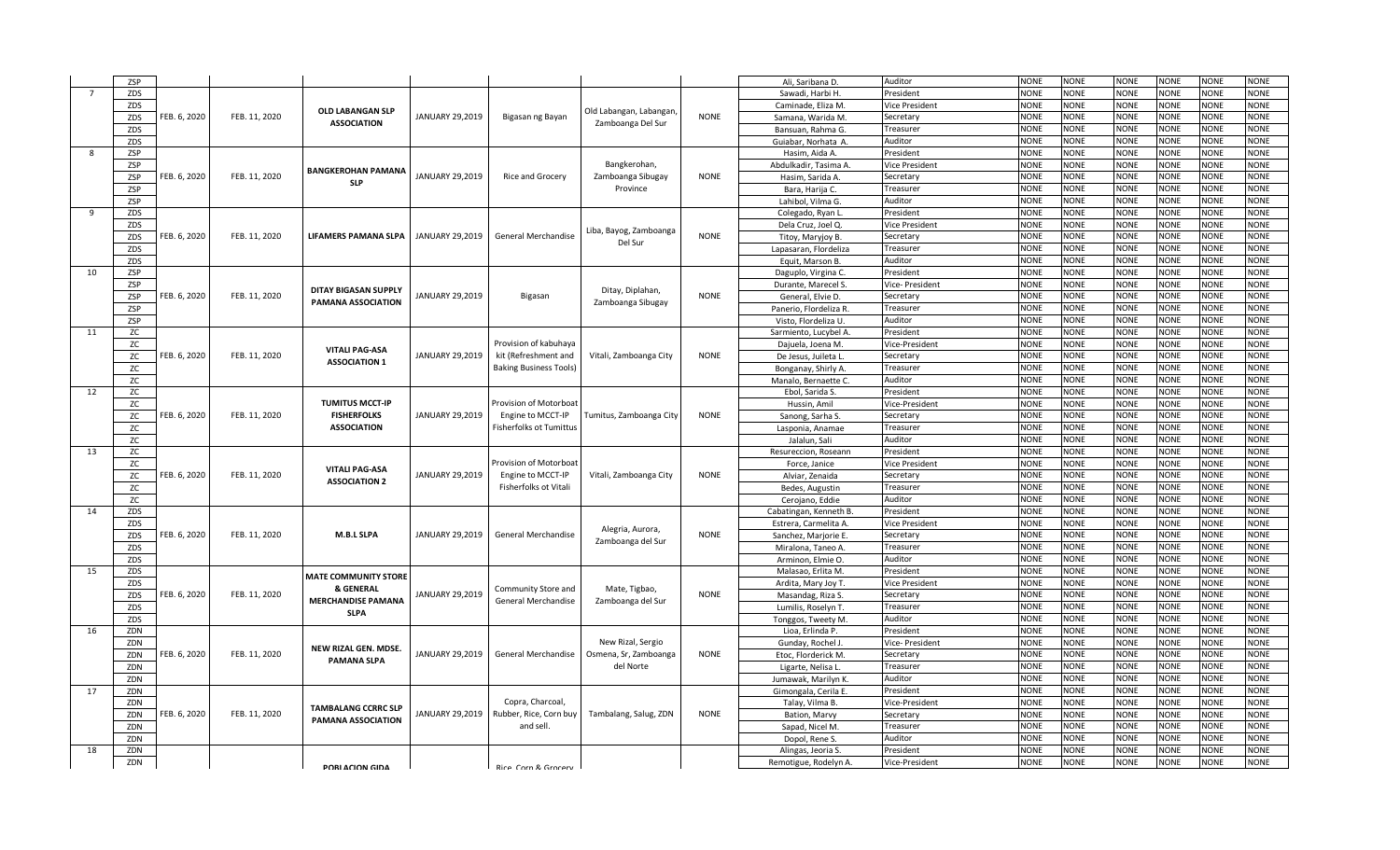|     | ZSP       |              |               |                                            |                 |                                            |                         |             | Ali. Saribana D.       | Auditor         | <b>NONE</b> | <b>NONE</b> | <b>NONE</b> | <b>NONE</b> | <b>NONE</b> | NONE        |
|-----|-----------|--------------|---------------|--------------------------------------------|-----------------|--------------------------------------------|-------------------------|-------------|------------------------|-----------------|-------------|-------------|-------------|-------------|-------------|-------------|
| - 7 | ZDS       |              |               |                                            |                 |                                            |                         |             | Sawadi, Harbi H.       | President       | <b>NONE</b> | <b>NONE</b> | NONE        | <b>NONE</b> | <b>NONE</b> | <b>NONE</b> |
|     | ZDS       |              |               | OLD LABANGAN SLP                           |                 |                                            |                         |             | Caminade, Eliza M.     | Vice President  | <b>NONE</b> | <b>NONE</b> | <b>NONE</b> | <b>NONE</b> | <b>NONE</b> | <b>NONE</b> |
|     | ZDS       | FEB. 6, 2020 | FEB. 11, 2020 | <b>ASSOCIATION</b>                         | JANUARY 29,2019 | Bigasan ng Bayan                           | Old Labangan, Labangan, | <b>NONE</b> | Samana, Warida M       | Secretary       | <b>NONE</b> | <b>NONE</b> | <b>NONE</b> | <b>NONE</b> | <b>NONE</b> | <b>NONE</b> |
|     | ZDS       |              |               |                                            |                 |                                            | Zamboanga Del Sur       |             | Bansuan, Rahma G.      | Treasurer       | <b>NONE</b> | <b>NONE</b> | <b>NONE</b> | <b>NONE</b> | <b>NONE</b> | <b>NONE</b> |
|     | ZDS       |              |               |                                            |                 |                                            |                         |             | Guiabar, Norhata A.    | Auditor         | <b>NONE</b> | <b>NONE</b> | <b>NONE</b> | <b>NONE</b> | <b>NONE</b> | <b>NONE</b> |
| 8   | ZSP       |              |               |                                            |                 |                                            |                         |             | Hasim, Aida A.         | President       | <b>NONE</b> | <b>NONE</b> | <b>NONE</b> | <b>NONE</b> | <b>NONE</b> | <b>NONE</b> |
|     | ZSP       |              |               |                                            |                 |                                            | Bangkerohan,            |             | Abdulkadir, Tasima A   | Vice President  | <b>NONE</b> | <b>NONE</b> | <b>NONE</b> | <b>NONE</b> | <b>NONE</b> | <b>NONE</b> |
|     | ZSP       | FEB. 6, 2020 | FEB. 11, 2020 | <b>BANGKEROHAN PAMANA</b>                  | JANUARY 29,2019 | Rice and Grocery                           | Zamboanga Sibugay       | <b>NONE</b> | Hasim, Sarida A        | Secretary       | <b>NONE</b> | <b>NONE</b> | <b>NONE</b> | <b>NONE</b> | <b>NONE</b> | <b>NONE</b> |
|     | ZSP       |              |               | <b>SLP</b>                                 |                 |                                            | Province                |             | Bara, Harija C.        | Treasurer       | <b>NONE</b> | <b>NONE</b> | <b>NONE</b> | <b>NONE</b> | <b>NONE</b> | NONE        |
|     | ZSP       |              |               |                                            |                 |                                            |                         |             | Lahibol, Vilma G.      | Auditor         | <b>NONE</b> | <b>NONE</b> | <b>NONE</b> | <b>NONE</b> | <b>NONE</b> | <b>NONE</b> |
| q   | ZDS       |              |               |                                            |                 |                                            |                         |             | Colegado, Ryan L       | President       | <b>NONE</b> | <b>NONE</b> | <b>NONE</b> | <b>NONE</b> | <b>NONE</b> | <b>NONE</b> |
|     | ZDS       |              |               |                                            |                 |                                            |                         |             | Dela Cruz, Joel Q.     | Vice President  | <b>NONE</b> | <b>NONE</b> | NONE        | <b>NONE</b> | <b>NONE</b> | <b>NONE</b> |
|     | ZDS       | FEB. 6, 2020 | FEB. 11, 2020 | LIFAMERS PAMANA SLPA                       | JANUARY 29,2019 | General Merchandise                        | Liba, Bayog, Zamboanga  | <b>NONE</b> | Titoy, Maryjoy B.      | Secretary       | <b>NONE</b> | <b>NONE</b> | <b>NONE</b> | <b>NONE</b> | <b>NONE</b> | <b>NONE</b> |
|     | ZDS       |              |               |                                            |                 |                                            | Del Sur                 |             | Lapasaran, Flordeliza  | Treasurer       | <b>NONE</b> | <b>NONE</b> | <b>NONE</b> | <b>NONE</b> | <b>NONE</b> | <b>NONE</b> |
|     | ZDS       |              |               |                                            |                 |                                            |                         |             | Equit, Marson B.       | Auditor         | <b>NONE</b> | <b>NONE</b> | <b>NONE</b> | <b>NONE</b> | <b>NONE</b> | <b>NONE</b> |
| 10  | ZSP       |              |               |                                            |                 |                                            |                         |             | Daguplo, Virgina C.    | President       | <b>NONE</b> | <b>NONE</b> | <b>NONE</b> | <b>NONE</b> | <b>NONE</b> | <b>NONE</b> |
|     | ZSP       |              |               |                                            |                 |                                            |                         |             | Durante, Marecel S     | Vice- President | <b>NONE</b> | <b>NONE</b> | <b>NONE</b> | <b>NONE</b> | <b>NONE</b> | <b>NONE</b> |
|     | ZSP       | FEB. 6, 2020 | FEB. 11, 2020 | DITAY BIGASAN SUPPLY                       | JANUARY 29,2019 | Bigasan                                    | Ditay, Diplahan,        | <b>NONE</b> | General, Elvie D.      | Secretary       | <b>NONE</b> | <b>NONE</b> | <b>NONE</b> | <b>NONE</b> | <b>NONE</b> | <b>VONE</b> |
|     | ZSP       |              |               | <b>PAMANA ASSOCIATION</b>                  |                 |                                            | Zamboanga Sibugay       |             | Panerio, Flordeliza R  | Treasurer       | <b>NONE</b> | <b>NONE</b> | <b>NONE</b> | <b>NONE</b> | <b>NONE</b> | <b>NONE</b> |
|     | ZSP       |              |               |                                            |                 |                                            |                         |             | Visto, Flordeliza U.   | Auditor         | <b>NONE</b> | <b>NONE</b> | <b>NONE</b> | <b>NONE</b> | <b>NONE</b> | <b>NONE</b> |
| 11  | ZC        |              |               |                                            |                 |                                            |                         |             | Sarmiento, Lucybel A   | President       | <b>NONE</b> | <b>NONE</b> | <b>NONE</b> | <b>NONE</b> | <b>NONE</b> | <b>NONE</b> |
|     | ZC        |              |               |                                            |                 | Provision of kabuhaya                      |                         |             | Dajuela, Joena M.      | Vice-President  | <b>NONE</b> | <b>NONE</b> | <b>NONE</b> | <b>NONE</b> | <b>NONE</b> | <b>NONE</b> |
|     | ZC        | FEB. 6, 2020 | FEB. 11, 2020 | <b>VITALI PAG-ASA</b>                      | JANUARY 29,2019 | kit (Refreshment and                       | Vitali, Zamboanga City  | <b>NONE</b> | De Jesus, Juileta L.   | Secretary       | <b>NONE</b> | <b>NONE</b> | <b>NONE</b> | <b>NONE</b> | <b>NONE</b> | <b>NONE</b> |
|     | ZC        |              |               | <b>ASSOCIATION 1</b>                       |                 | <b>Baking Business Tools)</b>              |                         |             | Bonganay, Shirly A.    | Treasureı       | <b>NONE</b> | <b>NONE</b> | <b>NONE</b> | <b>NONE</b> | <b>NONE</b> | <b>NONE</b> |
|     | ZC        |              |               |                                            |                 |                                            |                         |             | Manalo, Bernaette C.   | Auditor         | <b>NONE</b> | <b>NONE</b> | <b>NONE</b> | <b>NONE</b> | <b>NONE</b> | <b>NONE</b> |
| 12  | ZC        |              |               |                                            |                 |                                            |                         |             | Ebol, Sarida S.        | President       | <b>NONE</b> | <b>NONE</b> | <b>NONE</b> | <b>NONE</b> | <b>NONE</b> | <b>NONE</b> |
|     | ZC        |              |               | <b>TUMITUS MCCT-IP</b>                     |                 | Provision of Motorboat                     |                         |             | Hussin, Amil           | Vice-President  | <b>NONE</b> | <b>NONE</b> | <b>NONE</b> | <b>NONE</b> | <b>NONE</b> | <b>VONE</b> |
|     | ZC        | FEB. 6, 2020 | FEB. 11, 2020 | <b>FISHERFOLKS</b>                         | JANUARY 29,2019 | Engine to MCCT-IP                          | Tumitus, Zamboanga City | <b>NONE</b> | Sanong, Sarha S.       | Secretary       | <b>NONE</b> | <b>NONE</b> | <b>NONE</b> | <b>NONE</b> | <b>NONE</b> | <b>NONE</b> |
|     | ZC        |              |               | <b>ASSOCIATION</b>                         |                 | Fisherfolks ot Tumittus                    |                         |             | Lasponia, Anamae       | Treasurer       | <b>NONE</b> | <b>NONE</b> | <b>NONE</b> | <b>NONE</b> | <b>NONE</b> | <b>VONE</b> |
|     | ZC        |              |               |                                            |                 |                                            |                         |             | Jalalun, Sali          | Auditor         | <b>NONE</b> | <b>NONE</b> | <b>NONE</b> | <b>NONE</b> | <b>NONE</b> | <b>NONE</b> |
| 13  | ZC        |              |               |                                            |                 |                                            |                         |             | Resureccion, Roseann   | President       | <b>NONE</b> | <b>NONE</b> | <b>NONE</b> | <b>NONE</b> | <b>NONE</b> | <b>NONE</b> |
|     | <b>ZC</b> |              |               | <b>VITALI PAG-ASA</b>                      |                 | Provision of Motorboa                      |                         |             | Force, Janice          | Vice President  | <b>NONE</b> | <b>NONE</b> | <b>NONE</b> | <b>NONE</b> | <b>NONE</b> | <b>NONE</b> |
|     | zс        | FEB. 6, 2020 | FEB. 11, 2020 | <b>ASSOCIATION 2</b>                       | JANUARY 29,2019 | Engine to MCCT-IP                          | Vitali, Zamboanga City  | <b>NONE</b> | Alviar, Zenaida        | Secretary       | <b>NONE</b> | <b>NONE</b> | <b>NONE</b> | <b>NONE</b> | <b>NONE</b> | <b>NONE</b> |
|     | ZC        |              |               |                                            |                 | Fisherfolks ot Vitali                      |                         |             | Bedes, Augustin        | Treasurer       | <b>NONE</b> | <b>NONE</b> | <b>NONE</b> | <b>NONE</b> | <b>NONE</b> | <b>VONE</b> |
|     | ZC        |              |               |                                            |                 |                                            |                         |             | Cerojano, Eddie        | Auditor         | <b>NONE</b> | <b>NONE</b> | <b>NONE</b> | <b>NONE</b> | <b>NONE</b> | <b>NONE</b> |
| 14  | ZDS       |              |               |                                            |                 |                                            |                         |             | Cabatingan, Kenneth B. | President       | <b>NONE</b> | <b>NONE</b> | <b>NONE</b> | <b>NONE</b> | <b>NONE</b> | <b>NONE</b> |
|     | ZDS       |              |               |                                            |                 |                                            |                         |             | Estrera, Carmelita A   | Vice President  | <b>NONE</b> | <b>NONE</b> | <b>NONE</b> | <b>NONE</b> | <b>NONE</b> | <b>NONE</b> |
|     | ZDS       | FEB. 6, 2020 | FEB. 11, 2020 | M.B.L SLPA                                 | JANUARY 29,2019 | General Merchandise                        | Alegria, Aurora,        | <b>NONE</b> | Sanchez, Marjorie E.   | Secretary       | <b>NONE</b> | <b>NONE</b> | <b>NONE</b> | <b>NONE</b> | <b>NONE</b> | <b>NONE</b> |
|     | ZDS       |              |               |                                            |                 |                                            | Zamboanga del Sur       |             | Miralona, Taneo A.     | Treasurer       | <b>NONE</b> | <b>NONE</b> | <b>NONE</b> | <b>NONE</b> | <b>NONE</b> | <b>NONE</b> |
|     | ZDS       |              |               |                                            |                 |                                            |                         |             | Arminon, Elmie O.      | Auditor         | <b>NONE</b> | <b>NONE</b> | <b>NONE</b> | <b>NONE</b> | <b>NONE</b> | <b>VONE</b> |
| 15  | ZDS       |              |               | <b>MATE COMMUNITY STORE</b>                |                 |                                            |                         |             | Malasao, Erlita M.     | President       | <b>NONE</b> | <b>NONE</b> | <b>NONE</b> | <b>NONE</b> | <b>NONE</b> | <b>NONE</b> |
|     | ZDS       |              |               | & GENERAL                                  |                 |                                            |                         |             | Ardita, Mary Joy T     | Vice President  | <b>NONE</b> | <b>NONE</b> | <b>NONE</b> | <b>NONE</b> | <b>NONE</b> | <b>NONE</b> |
|     | ZDS       | FEB. 6, 2020 | FEB. 11, 2020 | <b>MERCHANDISE PAMANA</b>                  | JANUARY 29,2019 | Community Store and<br>General Merchandise | Mate, Tigbao,           | <b>NONE</b> | Masandag, Riza S.      | Secretary       | <b>NONE</b> | <b>NONE</b> | <b>NONE</b> | <b>NONE</b> | <b>NONE</b> | <b>NONE</b> |
|     | ZDS       |              |               | <b>SLPA</b>                                |                 |                                            | Zamboanga del Sur       |             | Lumilis, Roselyn T.    | Treasurer       | <b>NONE</b> | <b>NONE</b> | <b>NONE</b> | <b>NONE</b> | <b>NONE</b> | <b>NONE</b> |
|     | ZDS       |              |               |                                            |                 |                                            |                         |             | Tonggos, Tweety M.     | Auditor         | <b>NONE</b> | <b>NONE</b> | <b>NONE</b> | <b>NONE</b> | <b>NONE</b> | <b>VONE</b> |
| 16  | ZDN       |              |               |                                            |                 |                                            |                         |             | Lioa, Erlinda P.       | President       | <b>NONE</b> | <b>NONE</b> | <b>NONE</b> | <b>NONE</b> | <b>NONE</b> | <b>NONE</b> |
|     | ZDN       |              |               |                                            |                 |                                            | New Rizal, Sergio       |             | Gunday, Rochel J.      | Vice- President | <b>NONE</b> | <b>NONE</b> | <b>NONE</b> | <b>NONE</b> | <b>NONE</b> | <b>NONE</b> |
|     | ZDN       | FEB. 6, 2020 | FEB. 11, 2020 | NEW RIZAL GEN. MDSE.<br><b>PAMANA SLPA</b> | JANUARY 29,2019 | General Merchandise                        | Osmena, Sr, Zamboanga   | <b>NONE</b> | Etoc, Florderick M.    | Secretary       | <b>NONE</b> | <b>NONE</b> | <b>NONE</b> | <b>NONE</b> | <b>NONE</b> | <b>NONE</b> |
|     | ZDN       |              |               |                                            |                 |                                            | del Norte               |             | Ligarte, Nelisa L      | Treasurer       | <b>NONE</b> | <b>NONE</b> | <b>NONE</b> | <b>NONE</b> | <b>NONE</b> | <b>NONE</b> |
|     | ZDN       |              |               |                                            |                 |                                            |                         |             | Jumawak, Marilyn K.    | Auditor         | <b>NONE</b> | <b>NONE</b> | <b>NONE</b> | <b>NONE</b> | <b>NONE</b> | <b>NONE</b> |
| 17  | ZDN       |              |               |                                            |                 |                                            |                         |             | Gimongala, Cerila E    | President       | <b>NONE</b> | <b>NONE</b> | <b>NONE</b> | <b>NONE</b> | <b>NONE</b> | <b>NONE</b> |
|     | ZDN       |              |               | <b>TAMBALANG CCRRC SLP</b>                 |                 | Copra, Charcoal,                           |                         |             | Talay, Vilma B.        | Vice-President  | <b>NONE</b> | <b>NONE</b> | <b>NONE</b> | <b>NONE</b> | <b>NONE</b> | <b>NONE</b> |
|     | ZDN       | FEB. 6, 2020 | FEB. 11, 2020 | <b>PAMANA ASSOCIATION</b>                  | JANUARY 29,2019 | Rubber, Rice, Corn buy                     | Tambalang, Salug, ZDN   | <b>NONE</b> | Bation, Marvy          | Secretary       | <b>NONE</b> | <b>NONE</b> | <b>NONE</b> | <b>NONE</b> | <b>NONE</b> | <b>VONE</b> |
|     | ZDN       |              |               |                                            |                 | and sell.                                  |                         |             | Sapad, Nicel M         | Treasurer       | <b>NONE</b> | <b>NONE</b> | <b>NONE</b> | <b>NONE</b> | <b>NONE</b> | <b>NONE</b> |
|     | ZDN       |              |               |                                            |                 |                                            |                         |             | Dopol, Rene S.         | Auditor         | <b>NONE</b> | <b>NONE</b> | NONE        | <b>NONE</b> | <b>NONE</b> | <b>NONE</b> |
| 18  | ZDN       |              |               |                                            |                 |                                            |                         |             | Alingas, Jeoria S.     | President       | <b>NONE</b> | <b>NONE</b> | <b>NONE</b> | <b>NONE</b> | <b>NONE</b> | <b>NONE</b> |
|     | ZDN       |              |               |                                            |                 |                                            |                         |             | Remotigue, Rodelyn A   | Vice-President  | <b>NONE</b> | <b>NONE</b> | <b>NONE</b> | <b>NONE</b> | <b>NONE</b> | <b>NONE</b> |
|     |           |              |               | <b>PORLACION GIDA</b>                      |                 | Rice Corn & Grocery                        |                         |             |                        |                 |             |             |             |             |             |             |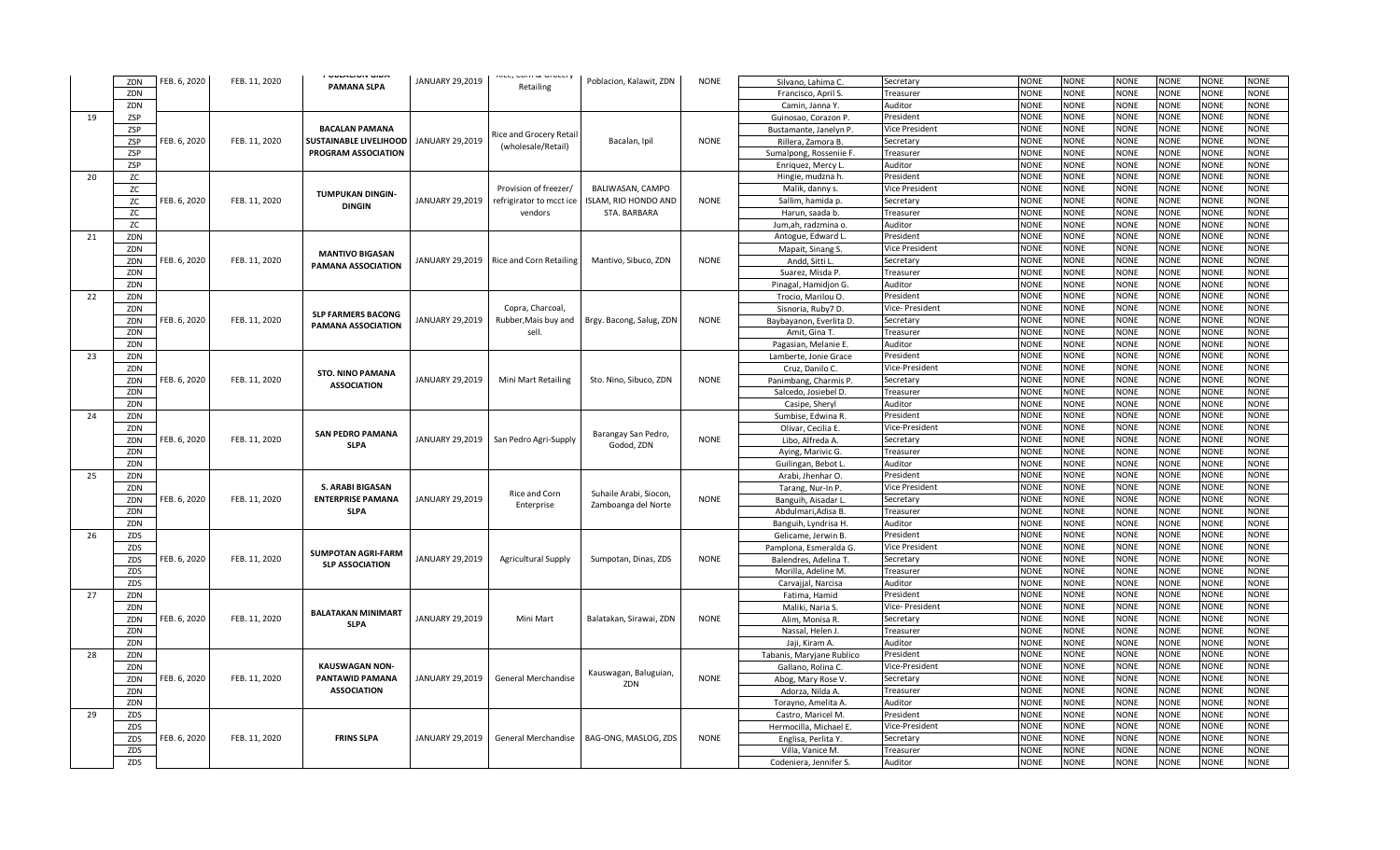|    |     |              |               | י טטנהטוטוז טוטה              |                        | <b>INCE, COTTI OF OT OCCT Y</b>           |                          |             |                                          |                        | <b>NONE</b> |             |             |             | <b>NONE</b> | <b>NONE</b> |
|----|-----|--------------|---------------|-------------------------------|------------------------|-------------------------------------------|--------------------------|-------------|------------------------------------------|------------------------|-------------|-------------|-------------|-------------|-------------|-------------|
|    | ZDN | FEB. 6, 2020 | FEB. 11, 2020 | PAMANA SLPA                   | JANUARY 29,2019        | Retailing                                 | Poblacion, Kalawit, ZDN  | <b>NONE</b> | Silvano, Lahima C.                       | Secretary              |             | <b>NONE</b> | <b>NONE</b> | <b>NONE</b> |             |             |
|    | ZDN |              |               |                               |                        |                                           |                          |             | Francisco, April S.                      | Treasurer              | <b>NONE</b> | <b>NONE</b> | <b>NONE</b> | <b>NONE</b> | <b>NONE</b> | <b>NONE</b> |
|    | ZDN |              |               |                               |                        |                                           |                          |             | Camin, Janna Y.                          | Auditor                | <b>NONE</b> | <b>NONE</b> | <b>NONE</b> | <b>NONE</b> | <b>NONE</b> | <b>NONE</b> |
| 19 | ZSP |              |               |                               |                        |                                           |                          |             | Guinosao, Corazon P.                     | President              | <b>NONE</b> | <b>NONE</b> | <b>NONE</b> | <b>NONE</b> | <b>NONE</b> | <b>NONE</b> |
|    | ZSP |              |               | <b>BACALAN PAMANA</b>         |                        | Rice and Grocery Retai                    |                          |             | Bustamante, Janelyn P.                   | Vice President         | <b>NONE</b> | <b>NONE</b> | <b>NONE</b> | <b>NONE</b> | <b>NONE</b> | <b>NONE</b> |
|    | ZSP | FEB. 6, 2020 | FEB. 11, 2020 | <b>SUSTAINABLE LIVELIHOOD</b> | JANUARY 29,2019        | (wholesale/Retail)                        | Bacalan, Ipil            | <b>NONE</b> | Rillera, Zamora B.                       | Secretary              | <b>NONE</b> | <b>NONE</b> | <b>NONE</b> | <b>NONE</b> | <b>NONE</b> | NONE        |
|    | ZSP |              |               | PROGRAM ASSOCIATION           |                        |                                           |                          |             | Sumalpong, Rosseniie F                   | Treasurer              | <b>NONE</b> | <b>NONE</b> | <b>NONE</b> | <b>NONE</b> | <b>NONE</b> | <b>NONE</b> |
|    | ZSP |              |               |                               |                        |                                           |                          |             | Enriquez, Mercy L.                       | Auditor                | <b>NONE</b> | <b>NONE</b> | <b>NONE</b> | <b>NONE</b> | <b>NONE</b> | <b>NONE</b> |
| 20 | ZC  |              |               |                               |                        |                                           |                          |             | Hingie, mudzna h.                        | President              | <b>NONE</b> | <b>NONE</b> | <b>NONE</b> | <b>NONE</b> | <b>NONE</b> | <b>NONE</b> |
|    | zс  |              |               |                               |                        | Provision of freezer/                     | BALIWASAN, CAMPO         |             | Malik, danny s.                          | Vice President         | <b>NONE</b> | <b>NONE</b> | <b>NONE</b> | <b>NONE</b> | <b>NONE</b> | <b>NONE</b> |
|    | ZC  | FEB. 6, 2020 | FEB. 11, 2020 | <b>TUMPUKAN DINGIN-</b>       | JANUARY 29,2019        | refrigirator to mcct ice                  | ISLAM, RIO HONDO AND     | <b>NONE</b> | Sallim, hamida p.                        | Secretary              | <b>NONE</b> | <b>NONE</b> | <b>NONE</b> | <b>NONE</b> | <b>NONE</b> | <b>NONE</b> |
|    | ZC  |              |               | <b>DINGIN</b>                 |                        | vendors                                   | STA. BARBARA             |             | Harun, saada b.                          | Treasurer              | <b>NONE</b> | <b>NONE</b> | <b>NONE</b> | <b>NONE</b> | <b>NONE</b> | <b>NONE</b> |
|    | ZC  |              |               |                               |                        |                                           |                          |             | Jum,ah, radzmina o.                      | Auditor                | <b>NONE</b> | <b>NONE</b> | <b>NONE</b> | <b>NONE</b> | <b>NONE</b> | <b>NONE</b> |
| 21 | ZDN |              |               |                               |                        |                                           |                          |             | Antogue, Edward L.                       | President              | <b>NONE</b> | <b>NONE</b> | <b>NONE</b> | <b>NONE</b> | <b>NONE</b> | <b>NONE</b> |
|    | ZDN |              |               |                               |                        |                                           |                          |             | Mapait, Sinang S.                        | Vice President         | <b>NONE</b> | <b>NONE</b> | <b>NONE</b> | <b>NONE</b> | <b>NONE</b> | NONE        |
|    | ZDN | FEB. 6, 2020 | FEB. 11, 2020 | <b>MANTIVO BIGASAN</b>        |                        | JANUARY 29,2019   Rice and Corn Retailing | Mantivo, Sibuco, ZDN     | <b>NONE</b> | Andd, Sitti L                            | Secretary              | <b>NONE</b> | <b>NONE</b> | <b>NONE</b> | <b>NONE</b> | <b>NONE</b> | <b>NONE</b> |
|    | ZDN |              |               | PAMANA ASSOCIATION            |                        |                                           |                          |             | Suarez, Misda P.                         | Treasurer              | <b>NONE</b> | <b>NONE</b> | <b>NONE</b> | <b>NONE</b> | <b>NONE</b> | <b>NONE</b> |
|    | ZDN |              |               |                               |                        |                                           |                          |             | Pinagal, Hamidjon G.                     | Auditor                | <b>NONE</b> | <b>NONE</b> | <b>NONE</b> | <b>NONE</b> | <b>NONE</b> | <b>NONE</b> |
| 22 | ZDN |              |               |                               |                        |                                           |                          |             | Trocio, Marilou O.                       | President              | <b>NONE</b> | <b>NONE</b> | <b>NONE</b> | <b>NONE</b> | <b>NONE</b> | <b>NONE</b> |
|    | ZDN |              |               |                               |                        | Copra, Charcoal,                          |                          |             | Sisnoria, Ruby7 D.                       | Vice- President        | <b>NONE</b> | <b>NONE</b> | <b>NONE</b> | <b>NONE</b> | <b>NONE</b> | <b>NONE</b> |
|    | ZDN | FEB. 6, 2020 | FEB. 11, 2020 | <b>SLP FARMERS BACONG</b>     | <b>JANUARY 29,2019</b> | Rubber, Mais buy and                      | Brgy. Bacong, Salug, ZDN | <b>NONE</b> |                                          |                        | <b>NONE</b> | <b>NONE</b> | <b>NONE</b> | <b>NONE</b> | <b>NONE</b> | <b>NONE</b> |
|    | ZDN |              |               | <b>PAMANA ASSOCIATION</b>     |                        | sell.                                     |                          |             | Baybayanon, Everlita D.<br>Amit, Gina T. | Secretary<br>Treasurer | <b>NONE</b> | <b>NONE</b> | <b>NONE</b> | <b>NONE</b> | <b>NONE</b> | <b>NONE</b> |
|    |     |              |               |                               |                        |                                           |                          |             |                                          |                        | <b>NONE</b> | <b>NONE</b> | <b>NONE</b> | <b>NONE</b> | <b>NONE</b> | <b>NONE</b> |
|    | ZDN |              |               |                               |                        |                                           |                          |             | Pagasian, Melanie E.                     | Auditor                | <b>NONE</b> |             |             |             |             |             |
| 23 | ZDN |              |               |                               |                        |                                           |                          |             | Lamberte, Jonie Grace                    | President              |             | <b>NONE</b> | <b>NONE</b> | <b>NONE</b> | <b>NONE</b> | <b>NONE</b> |
|    | ZDN |              |               | <b>STO. NINO PAMANA</b>       |                        |                                           |                          |             | Cruz, Danilo C.                          | Vice-President         | <b>NONE</b> | <b>NONE</b> | <b>NONE</b> | <b>NONE</b> | <b>NONE</b> | <b>NONE</b> |
|    | ZDN | FEB. 6, 2020 | FEB. 11, 2020 | <b>ASSOCIATION</b>            | JANUARY 29,2019        | Mini Mart Retailing                       | Sto. Nino, Sibuco, ZDN   | <b>NONE</b> | Panimbang, Charmis P                     | Secretary              | NONE        | <b>NONE</b> | <b>NONE</b> | <b>NONE</b> | <b>NONE</b> | <b>NONE</b> |
|    | ZDN |              |               |                               |                        |                                           |                          |             | Salcedo, Josiebel D.                     | Treasurer              | <b>NONE</b> | <b>NONE</b> | <b>NONE</b> | <b>NONE</b> | <b>NONE</b> | <b>NONE</b> |
|    | ZDN |              |               |                               |                        |                                           |                          |             | Casipe, Sheryl                           | Auditor                | <b>NONE</b> | <b>NONE</b> | <b>NONE</b> | <b>NONE</b> | <b>NONE</b> | <b>NONE</b> |
| 24 | ZDN |              |               |                               |                        |                                           |                          |             | Sumbise, Edwina R.                       | President              | <b>NONE</b> | <b>NONE</b> | <b>NONE</b> | <b>NONE</b> | <b>NONE</b> | NONE        |
|    | ZDN |              |               | <b>SAN PEDRO PAMANA</b>       |                        |                                           | Barangay San Pedro,      |             | Olivar, Cecilia E                        | Vice-President         | <b>NONE</b> | <b>NONE</b> | <b>NONE</b> | <b>NONE</b> | <b>NONE</b> | <b>NONE</b> |
|    | ZDN | FEB. 6, 2020 | FEB. 11, 2020 | <b>SLPA</b>                   | JANUARY 29,2019        | San Pedro Agri-Supply                     | Godod, ZDN               | <b>NONE</b> | Libo, Alfreda A.                         | Secretary              | <b>NONE</b> | <b>NONE</b> | <b>NONE</b> | <b>NONE</b> | <b>NONE</b> | NONE        |
|    | ZDN |              |               |                               |                        |                                           |                          |             | Aying, Marivic G.                        | Treasurer              | <b>NONE</b> | <b>NONE</b> | <b>NONE</b> | <b>NONE</b> | <b>NONE</b> | <b>NONE</b> |
|    | ZDN |              |               |                               |                        |                                           |                          |             | Guilingan, Bebot L                       | Auditor                | <b>NONE</b> | <b>NONE</b> | <b>NONE</b> | <b>NONE</b> | <b>NONE</b> | <b>NONE</b> |
| 25 | ZDN |              |               |                               |                        |                                           |                          |             | Arabi, Jhenhar O.                        | President              | <b>NONE</b> | <b>NONE</b> | <b>NONE</b> | <b>NONE</b> | <b>NONE</b> | <b>NONE</b> |
|    | ZDN |              |               | <b>S. ARABI BIGASAN</b>       |                        | Rice and Corn                             | Suhaile Arabi, Siocon,   |             | Tarang, Nur-In P.                        | Vice President         | <b>NONE</b> | <b>NONE</b> | <b>NONE</b> | <b>NONE</b> | <b>NONE</b> | <b>NONE</b> |
|    | ZDN | FEB. 6, 2020 | FEB. 11, 2020 | <b>ENTERPRISE PAMANA</b>      | JANUARY 29,2019        | Enterprise                                | Zamboanga del Norte      | <b>NONE</b> | Banguih, Aisadar L                       | Secretary              | <b>NONE</b> | <b>NONE</b> | <b>NONE</b> | <b>NONE</b> | <b>NONE</b> | <b>NONE</b> |
|    | ZDN |              |               | <b>SLPA</b>                   |                        |                                           |                          |             | Abdulmari, Adisa B                       | Treasurer              | <b>NONE</b> | <b>NONE</b> | <b>NONE</b> | <b>NONE</b> | <b>NONE</b> | <b>NONE</b> |
|    | ZDN |              |               |                               |                        |                                           |                          |             | Banguih, Lyndrisa H.                     | Auditor                | <b>NONE</b> | <b>NONE</b> | <b>NONE</b> | <b>NONE</b> | <b>NONE</b> | NONE        |
| 26 | ZDS |              |               |                               |                        |                                           |                          |             | Gelicame, Jerwin B.                      | President              | <b>NONE</b> | <b>NONE</b> | <b>NONE</b> | <b>NONE</b> | <b>NONE</b> | <b>NONE</b> |
|    | ZDS |              |               |                               |                        |                                           |                          |             | Pamplona, Esmeralda G                    | <b>Vice President</b>  | <b>NONE</b> | <b>NONE</b> | <b>NONE</b> | <b>NONE</b> | <b>NONE</b> | <b>NONE</b> |
|    | ZDS | FEB. 6, 2020 | FEB. 11, 2020 | <b>SUMPOTAN AGRI-FARM</b>     | JANUARY 29,2019        | <b>Agricultural Supply</b>                | Sumpotan, Dinas, ZDS     | <b>NONE</b> | Balendres, Adelina T                     | Secretary              | <b>NONE</b> | <b>NONE</b> | <b>NONE</b> | <b>NONE</b> | <b>NONE</b> | <b>NONE</b> |
|    | ZDS |              |               | <b>SLP ASSOCIATION</b>        |                        |                                           |                          |             | Morilla, Adeline M.                      | Treasurer              | <b>NONE</b> | <b>NONE</b> | <b>NONE</b> | <b>NONE</b> | <b>NONE</b> | <b>NONE</b> |
|    | ZDS |              |               |                               |                        |                                           |                          |             | Carvajjal, Narcisa                       | Auditor                | <b>NONE</b> | <b>NONE</b> | <b>NONE</b> | <b>NONE</b> | <b>NONE</b> | <b>NONE</b> |
| 27 | ZDN |              |               |                               |                        |                                           |                          |             | Fatima, Hamid                            | President              | <b>NONE</b> | <b>NONE</b> | <b>NONE</b> | <b>NONE</b> | <b>NONE</b> | <b>NONE</b> |
|    | ZDN |              |               |                               |                        |                                           |                          |             | Maliki, Naria S.                         | Vice- President        | <b>NONE</b> | <b>NONE</b> | <b>NONE</b> | <b>NONE</b> | <b>NONE</b> | NONE        |
|    | ZDN | FEB. 6, 2020 | FEB. 11, 2020 | <b>BALATAKAN MINIMART</b>     | JANUARY 29.2019        | Mini Mart                                 | Balatakan, Sirawai, ZDN  | <b>NONE</b> | Alim, Monisa R.                          | Secretary              | <b>NONE</b> | <b>NONE</b> | <b>NONE</b> | <b>NONE</b> | <b>NONE</b> | <b>NONE</b> |
|    | ZDN |              |               | <b>SLPA</b>                   |                        |                                           |                          |             | Nassal, Helen J.                         | Treasurer              | <b>NONE</b> | <b>NONE</b> | <b>NONE</b> | <b>NONE</b> | <b>NONE</b> | <b>NONE</b> |
|    | ZDN |              |               |                               |                        |                                           |                          |             | Jaji, Kiram A.                           | Auditor                | <b>NONE</b> | <b>NONE</b> | <b>NONE</b> | <b>NONE</b> | <b>NONE</b> | NONE        |
| 28 | ZDN |              |               |                               |                        |                                           |                          |             | Tabanis, Maryjane Rublico                | President              | <b>NONE</b> | <b>NONE</b> | <b>NONE</b> | <b>NONE</b> | <b>NONE</b> | <b>NONE</b> |
|    | ZDN |              |               | <b>KAUSWAGAN NON-</b>         |                        |                                           |                          |             | Gallano, Rolina C                        | Vice-President         | <b>NONE</b> | <b>NONE</b> | <b>NONE</b> | <b>NONE</b> | <b>NONE</b> | <b>NONE</b> |
|    | ZDN | FEB. 6, 2020 | FEB. 11, 2020 | PANTAWID PAMANA               | JANUARY 29,2019        | General Merchandise                       | Kauswagan, Baluguian,    | <b>NONE</b> | Abog, Mary Rose V.                       | Secretary              | <b>NONE</b> | <b>NONE</b> | <b>NONE</b> | <b>NONE</b> | <b>NONE</b> | <b>NONE</b> |
|    | ZDN |              |               | <b>ASSOCIATION</b>            |                        |                                           | ZDN                      |             | Adorza, Nilda A.                         | Treasurer              | <b>NONE</b> | <b>NONE</b> | <b>NONE</b> | <b>NONE</b> | <b>NONE</b> | <b>NONE</b> |
|    | ZDN |              |               |                               |                        |                                           |                          |             |                                          | Auditor                | <b>NONE</b> | <b>NONE</b> | <b>NONE</b> | <b>NONE</b> | <b>NONE</b> | NONE        |
| 29 |     |              |               |                               |                        |                                           |                          |             | Torayno, Amelita A.                      | President              | <b>NONE</b> | <b>NONE</b> | <b>NONE</b> | <b>NONE</b> | <b>NONE</b> | <b>NONE</b> |
|    | ZDS |              |               |                               |                        |                                           |                          |             | Castro, Maricel M.                       |                        | <b>NONE</b> | <b>NONE</b> | <b>NONE</b> | <b>NONE</b> | <b>NONE</b> | <b>NONE</b> |
|    | ZDS |              |               | <b>FRINS SLPA</b>             |                        |                                           | BAG-ONG, MASLOG, ZDS     | <b>NONE</b> | Hermocilla, Michael E                    | Vice-President         |             |             |             |             |             |             |
|    | ZDS | FEB. 6, 2020 | FEB. 11, 2020 |                               | JANUARY 29,2019        | General Merchandise                       |                          |             | Englisa, Perlita Y.                      | Secretary              | <b>NONE</b> | <b>NONE</b> | <b>NONE</b> | <b>NONE</b> | <b>NONE</b> | <b>NONE</b> |
|    | ZDS |              |               |                               |                        |                                           |                          |             | Villa, Vanice M.                         | Treasurer              | <b>NONE</b> | <b>NONE</b> | <b>NONE</b> | <b>NONE</b> | <b>NONE</b> | <b>NONE</b> |
|    | ZDS |              |               |                               |                        |                                           |                          |             | Codeniera, Jennifer S.                   | Auditor                | <b>NONE</b> | <b>NONE</b> | <b>NONE</b> | <b>NONE</b> | <b>NONE</b> | <b>NONE</b> |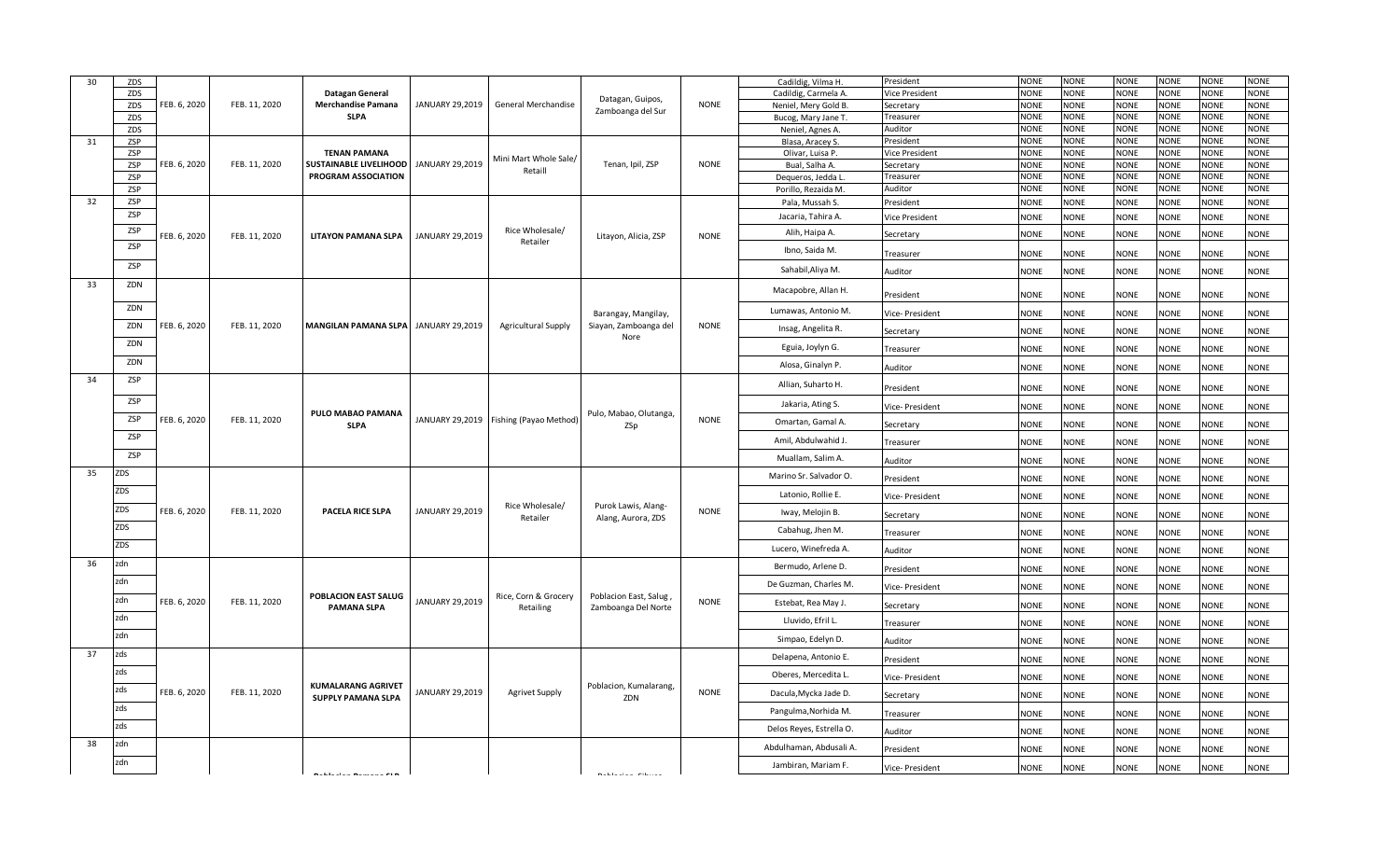| 30 | ZDS |              |               |                                                        |                 |                                          |                                              |             | Cadildig, Vilma H.       | President       | <b>NONE</b> | <b>NONE</b> | <b>NONE</b> | <b>NONE</b> | <b>NONE</b> | <b>NONE</b> |
|----|-----|--------------|---------------|--------------------------------------------------------|-----------------|------------------------------------------|----------------------------------------------|-------------|--------------------------|-----------------|-------------|-------------|-------------|-------------|-------------|-------------|
|    | ZDS |              |               | Datagan General                                        |                 |                                          |                                              |             | Cadildig, Carmela A.     | Vice President  | <b>NONE</b> | <b>NONE</b> | <b>NONE</b> | <b>NONE</b> | <b>NONE</b> | <b>NONE</b> |
|    | ZDS | FEB. 6, 2020 | FEB. 11, 2020 | <b>Merchandise Pamana</b>                              | JANUARY 29,2019 | General Merchandise                      | Datagan, Guipos,<br>Zamboanga del Sur        | <b>NONE</b> | Neniel, Mery Gold B.     | Secretary       | <b>NONE</b> | <b>NONE</b> | <b>NONE</b> | <b>NONE</b> | <b>NONE</b> | <b>NONE</b> |
|    | ZDS |              |               | <b>SLPA</b>                                            |                 |                                          |                                              |             | Bucog, Mary Jane T.      | Treasurer       | <b>NONE</b> | <b>NONE</b> | <b>NONE</b> | <b>NONE</b> | <b>NONE</b> | <b>NONE</b> |
|    | ZDS |              |               |                                                        |                 |                                          |                                              |             | Neniel, Agnes A.         | Auditor         | <b>NONE</b> | <b>NONE</b> | <b>NONE</b> | <b>NONE</b> | <b>NONE</b> | <b>NONE</b> |
| 31 | ZSP |              |               |                                                        |                 |                                          |                                              |             | Blasa, Aracey S.         | President       | <b>NONE</b> | <b>NONE</b> | <b>NONE</b> | <b>NONE</b> | <b>NONE</b> | <b>NONE</b> |
|    | ZSP |              |               | <b>TENAN PAMANA</b>                                    |                 | Mini Mart Whole Sale/                    |                                              |             | Olivar, Luisa P.         | Vice President  | <b>NONE</b> | <b>NONE</b> | <b>NONE</b> | <b>NONE</b> | <b>NONE</b> | <b>NONE</b> |
|    | ZSP | FEB. 6, 2020 | FEB. 11, 2020 | SUSTAINABLE LIVELIHOOD                                 | JANUARY 29,2019 | Retaill                                  | Tenan, Ipil, ZSP                             | <b>NONE</b> | Bual, Salha A.           | Secretary       | <b>NONE</b> | <b>NONE</b> | <b>NONE</b> | <b>NONE</b> | <b>NONE</b> | <b>NONE</b> |
|    | ZSP |              |               | <b>PROGRAM ASSOCIATION</b>                             |                 |                                          |                                              |             | Dequeros, Jedda L        | Treasurer       | <b>NONE</b> | <b>NONE</b> | <b>NONE</b> | <b>NONE</b> | <b>NONE</b> | <b>NONE</b> |
|    | ZSP |              |               |                                                        |                 |                                          |                                              |             | Porillo, Rezaida M.      | Auditor         | <b>NONE</b> | <b>NONE</b> | <b>NONE</b> | <b>NONE</b> | <b>NONE</b> | <b>NONE</b> |
| 32 | ZSP |              |               |                                                        |                 |                                          |                                              |             | Pala, Mussah S.          | President       | <b>NONE</b> | <b>NONE</b> | <b>NONE</b> | <b>NONE</b> | <b>NONE</b> | <b>NONE</b> |
|    | ZSP |              |               |                                                        |                 |                                          |                                              |             | Jacaria, Tahira A.       | Vice President  | <b>NONE</b> | <b>NONE</b> | NONE        | <b>NONE</b> | <b>NONE</b> | <b>NONE</b> |
|    | ZSP | FEB. 6, 2020 | FEB. 11, 2020 | <b>LITAYON PAMANA SLPA</b>                             | JANUARY 29,2019 | Rice Wholesale/<br>Retailer              | Litayon, Alicia, ZSP                         | <b>NONE</b> | Alih, Haipa A.           | Secretary       | <b>NONE</b> | <b>NONE</b> | <b>NONE</b> | <b>NONE</b> | <b>NONE</b> | <b>NONE</b> |
|    | ZSP |              |               |                                                        |                 |                                          |                                              |             | Ibno, Saida M.           | Treasurer       | <b>NONE</b> | NONE        | <b>NONE</b> | <b>NONE</b> | <b>NONE</b> | <b>NONE</b> |
|    | ZSP |              |               |                                                        |                 |                                          |                                              |             | Sahabil, Aliya M.        | Auditor         | <b>NONE</b> | <b>NONE</b> | <b>NONE</b> | <b>NONE</b> | <b>NONE</b> | <b>NONE</b> |
| 33 | ZDN |              |               |                                                        |                 |                                          |                                              |             | Macapobre, Allan H.      | President       | <b>NONE</b> | NONE        | NONE        | <b>NONE</b> | <b>NONE</b> | <b>NONE</b> |
|    | ZDN |              |               |                                                        |                 |                                          | Barangay, Mangilay,                          |             | Lumawas, Antonio M.      | Vice- President | NONE        | <b>NONE</b> | NONE        | <b>NONE</b> | NONE        | <b>NONE</b> |
|    | ZDN | FEB. 6, 2020 | FEB. 11, 2020 | MANGILAN PAMANA SLPA JANUARY 29,2019                   |                 | <b>Agricultural Supply</b>               | Siayan, Zamboanga del<br>Nore                | <b>NONE</b> | Insag, Angelita R.       | Secretary       | <b>NONE</b> | NONE        | <b>NONE</b> | <b>NONE</b> | <b>NONE</b> | <b>NONE</b> |
|    | ZDN |              |               |                                                        |                 |                                          |                                              |             | Eguia, Joylyn G.         | Treasurer       | NONE        | <b>NONE</b> | NONE        | <b>NONE</b> | <b>NONE</b> | <b>NONE</b> |
|    | ZDN |              |               |                                                        |                 |                                          |                                              |             | Alosa, Ginalyn P.        | Auditor         | <b>NONE</b> | <b>NONE</b> | <b>NONE</b> | <b>NONE</b> | <b>NONE</b> | <b>NONE</b> |
| 34 | ZSP |              |               |                                                        |                 |                                          |                                              |             | Allian, Suharto H.       | President       | <b>NONE</b> | <b>NONE</b> | <b>NONE</b> | <b>NONE</b> | <b>NONE</b> | <b>NONE</b> |
|    | ZSP |              |               | PULO MABAO PAMANA                                      |                 |                                          | Pulo, Mabao, Olutanga,                       |             | Jakaria, Ating S.        | Vice- President | <b>NONE</b> | <b>NONE</b> | <b>NONE</b> | <b>NONE</b> | <b>NONE</b> | <b>NONE</b> |
|    | ZSP | FEB. 6, 2020 | FEB. 11, 2020 | <b>SLPA</b>                                            |                 | JANUARY 29,2019   Fishing (Payao Method) | ZSp                                          | <b>NONE</b> | Omartan, Gamal A.        | Secretary       | <b>NONE</b> | NONE        | <b>NONE</b> | <b>NONE</b> | <b>NONE</b> | <b>NONE</b> |
|    | ZSP |              |               |                                                        |                 |                                          |                                              |             | Amil, Abdulwahid J.      | Treasurer       | <b>NONE</b> | NONE        | NONE        | <b>NONE</b> | <b>NONE</b> | <b>NONE</b> |
|    | ZSP |              |               |                                                        |                 |                                          |                                              |             | Muallam, Salim A.        | Auditor         | <b>NONE</b> | <b>NONE</b> | <b>NONE</b> | <b>NONE</b> | <b>NONE</b> | <b>NONE</b> |
| 35 | ZDS |              |               |                                                        |                 |                                          |                                              |             | Marino Sr. Salvador O.   | President       | <b>NONE</b> | NONE        | NONE        | <b>NONE</b> | <b>NONE</b> | <b>NONE</b> |
|    | ZDS |              |               |                                                        |                 |                                          |                                              |             | Latonio, Rollie E.       | Vice- President | <b>NONE</b> | <b>NONE</b> | <b>NONE</b> | <b>NONE</b> | <b>NONE</b> | <b>NONE</b> |
|    | ZDS | FEB. 6, 2020 | FEB. 11, 2020 | PACELA RICE SLPA                                       | JANUARY 29,2019 | Rice Wholesale/<br>Retailer              | Purok Lawis, Alang-<br>Alang, Aurora, ZDS    | <b>NONE</b> | Iway, Melojin B.         | Secretary       | <b>NONE</b> | <b>NONE</b> | <b>NONE</b> | <b>NONE</b> | <b>NONE</b> | <b>NONE</b> |
|    | ZDS |              |               |                                                        |                 |                                          |                                              |             | Cabahug, Jhen M.         | Treasurer       | NONE        | NONE        | NONE        | <b>NONE</b> | <b>NONE</b> | <b>NONE</b> |
|    | ZDS |              |               |                                                        |                 |                                          |                                              |             | Lucero, Winefreda A.     | Auditor         | <b>NONE</b> | <b>NONE</b> | <b>NONE</b> | <b>NONE</b> | <b>NONE</b> | <b>NONE</b> |
| 36 | zdn |              |               |                                                        |                 |                                          |                                              |             | Bermudo, Arlene D.       | President       | <b>NONE</b> | NONE        | <b>VONE</b> | <b>NONE</b> | <b>NONE</b> | <b>NONE</b> |
|    | zdn |              |               |                                                        |                 |                                          |                                              |             | De Guzman, Charles M.    | Vice- President | NONE        | <b>NONE</b> | NONE        | <b>NONE</b> | <b>NONE</b> | <b>NONE</b> |
|    | zdn | FEB. 6, 2020 | FEB. 11, 2020 | POBLACION EAST SALUG<br><b>PAMANA SLPA</b>             | JANUARY 29,2019 | Rice, Corn & Grocery<br>Retailing        | Poblacion East, Salug<br>Zamboanga Del Norte | <b>NONE</b> | Estebat, Rea May J.      | Secretary       | <b>NONE</b> | <b>NONE</b> | <b>NONE</b> | <b>NONE</b> | <b>NONE</b> | <b>NONE</b> |
|    | zdn |              |               |                                                        |                 |                                          |                                              |             | Lluvido, Efril L.        | Treasurer       | <b>NONE</b> | <b>NONE</b> | <b>NONE</b> | <b>NONE</b> | <b>NONE</b> | <b>NONE</b> |
|    | zdn |              |               |                                                        |                 |                                          |                                              |             | Simpao, Edelyn D.        | Auditor         | <b>NONE</b> | <b>NONE</b> | <b>NONE</b> | <b>NONE</b> | <b>NONE</b> | <b>NONE</b> |
| 37 | zds |              |               |                                                        |                 |                                          |                                              |             | Delapena, Antonio E.     | President       | <b>NONE</b> | <b>NONE</b> | NONE        | <b>NONE</b> | <b>NONE</b> | <b>NONE</b> |
|    | zds |              |               |                                                        |                 |                                          |                                              |             | Oberes, Mercedita L.     | Vice- President | <b>NONE</b> | <b>NONE</b> | <b>NONE</b> | <b>NONE</b> | <b>NONE</b> | <b>NONE</b> |
|    | zds | FEB. 6, 2020 | FEB. 11, 2020 | <b>KUMALARANG AGRIVET</b><br><b>SUPPLY PAMANA SLPA</b> | JANUARY 29,2019 | <b>Agrivet Supply</b>                    | Poblacion, Kumalarang,<br>ZDN                | <b>NONE</b> | Dacula, Mycka Jade D.    | Secretary       | <b>NONE</b> | <b>NONE</b> | NONE        | <b>NONE</b> | <b>NONE</b> | <b>NONE</b> |
|    | zds |              |               |                                                        |                 |                                          |                                              |             | Pangulma, Norhida M.     | Treasurer       | NONE        | NONE        | NONE        | <b>NONE</b> | NONE        | <b>NONE</b> |
|    | zds |              |               |                                                        |                 |                                          |                                              |             | Delos Reyes, Estrella O. | Auditor         | <b>NONE</b> | <b>NONE</b> | <b>NONE</b> | <b>NONE</b> | <b>NONE</b> | <b>NONE</b> |
| 38 | zdn |              |               |                                                        |                 |                                          |                                              |             | Abdulhaman, Abdusali A.  | President       | NONE        | NONE        | <b>NONE</b> | NONE        | <b>NONE</b> | NONE        |
|    | zdn |              |               |                                                        |                 |                                          |                                              |             | Jambiran, Mariam F.      |                 |             |             |             |             |             |             |
|    |     |              |               |                                                        |                 |                                          |                                              |             |                          | Vice- President | NONE        | <b>NONE</b> | NONE        | <b>NONE</b> | <b>NONE</b> | <b>NONE</b> |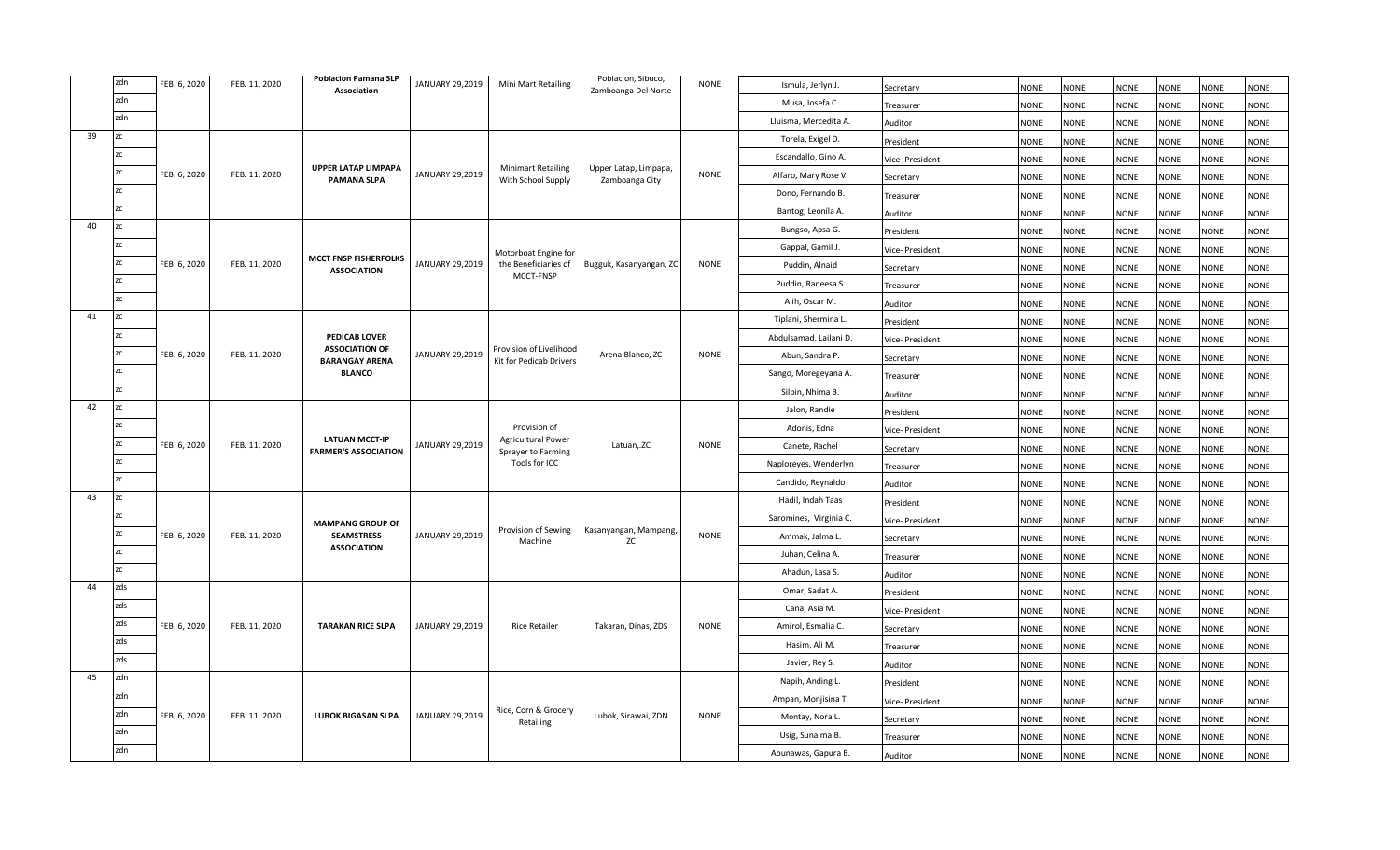|    | zdn | FEB. 6, 2020 | FEB. 11, 2020 | <b>Poblacion Pamana SLP</b><br><b>Association</b>    | JANUARY 29,2019 | Mini Mart Retailing                                       | Poblacion, Sibuco,<br>Zamboanga Del Norte | <b>NONE</b> | Ismula, Jerlyn J.      | Secretary       | <b>NONE</b> | <b>NONE</b> | <b>NONE</b> | <b>NONE</b> | <b>NONE</b> | <b>NONE</b> |
|----|-----|--------------|---------------|------------------------------------------------------|-----------------|-----------------------------------------------------------|-------------------------------------------|-------------|------------------------|-----------------|-------------|-------------|-------------|-------------|-------------|-------------|
|    | zdn |              |               |                                                      |                 |                                                           |                                           |             | Musa, Josefa C.        | Treasurer       | <b>NONE</b> | <b>NONE</b> | <b>NONE</b> | <b>NONE</b> | <b>NONE</b> | <b>NONE</b> |
|    | zdn |              |               |                                                      |                 |                                                           |                                           |             | Lluisma, Mercedita A.  | Auditor         | <b>NONE</b> | <b>NONE</b> | <b>NONE</b> | <b>NONE</b> | <b>NONE</b> | <b>NONE</b> |
| 39 | ZC. |              |               |                                                      |                 |                                                           |                                           |             | Torela, Exigel D.      | President       | <b>NONE</b> | <b>NONE</b> | <b>NONE</b> | <b>NONE</b> | <b>NONE</b> | <b>NONE</b> |
|    | zc  |              |               |                                                      |                 |                                                           |                                           |             | Escandallo, Gino A.    | Vice- President | <b>NONE</b> | <b>NONE</b> | <b>NONE</b> | <b>NONE</b> | <b>NONE</b> | <b>NONE</b> |
|    | zc  | FEB. 6, 2020 | FEB. 11, 2020 | <b>UPPER LATAP LIMPAPA</b><br><b>PAMANA SLPA</b>     | JANUARY 29,2019 | <b>Minimart Retailing</b><br>With School Supply           | Upper Latap, Limpapa<br>Zamboanga City    | <b>NONE</b> | Alfaro, Mary Rose V.   | Secretary       | <b>NONE</b> | <b>NONE</b> | <b>NONE</b> | <b>NONE</b> | <b>NONE</b> | <b>NONE</b> |
|    | zc  |              |               |                                                      |                 |                                                           |                                           |             | Dono, Fernando B.      | Treasurer       | <b>NONE</b> | NONE        | <b>NONE</b> | <b>NONE</b> | <b>NONE</b> | <b>NONE</b> |
|    | ZC  |              |               |                                                      |                 |                                                           |                                           |             | Bantog, Leonila A.     | Auditor         | <b>NONE</b> | <b>NONE</b> | <b>NONE</b> | <b>NONE</b> | <b>NONE</b> | <b>NONE</b> |
| 40 | ZC  |              |               |                                                      |                 |                                                           |                                           |             | Bungso, Apsa G.        | President       | <b>NONE</b> | <b>NONE</b> | <b>NONE</b> | <b>NONE</b> | <b>NONE</b> | <b>NONE</b> |
|    | ZC. |              |               |                                                      |                 | Motorboat Engine for                                      |                                           |             | Gappal, Gamil J.       | Vice- President | <b>NONE</b> | <b>NONE</b> | <b>NONE</b> | <b>NONE</b> | <b>NONE</b> | <b>NONE</b> |
|    | zc  | FEB. 6, 2020 | FEB. 11, 2020 | <b>MCCT FNSP FISHERFOLKS</b><br><b>ASSOCIATION</b>   | JANUARY 29,2019 | the Beneficiaries of                                      | Bugguk, Kasanyangan, ZC                   | <b>NONE</b> | Puddin, Alnaid         | Secretary       | <b>NONE</b> | <b>NONE</b> | <b>NONE</b> | <b>NONE</b> | <b>NONE</b> | <b>NONE</b> |
|    | zc  |              |               |                                                      |                 | MCCT-FNSP                                                 |                                           |             | Puddin, Raneesa S.     | Treasurer       | <b>NONE</b> | <b>NONE</b> | <b>NONE</b> | <b>NONE</b> | <b>NONE</b> | <b>NONE</b> |
|    | zc  |              |               |                                                      |                 |                                                           |                                           |             | Alih, Oscar M.         | Auditor         | <b>NONE</b> | <b>NONE</b> | <b>NONE</b> | <b>NONE</b> | <b>NONE</b> | <b>NONE</b> |
| 41 | zc  |              |               |                                                      |                 |                                                           |                                           |             | Tiplani, Shermina L.   | President       | <b>NONE</b> | <b>NONE</b> | <b>NONE</b> | <b>NONE</b> | <b>NONE</b> | <b>NONE</b> |
|    | zc  |              |               | <b>PEDICAB LOVER</b>                                 |                 |                                                           |                                           |             | Abdulsamad, Lailani D. | Vice- President | <b>NONE</b> | <b>NONE</b> | <b>NONE</b> | <b>NONE</b> | <b>NONE</b> | <b>NONE</b> |
|    | zc  | FEB. 6, 2020 | FEB. 11, 2020 | <b>ASSOCIATION OF</b><br><b>BARANGAY ARENA</b>       | JANUARY 29,2019 | Provision of Livelihood<br><b>Kit for Pedicab Drivers</b> | Arena Blanco, ZC                          | <b>NONE</b> | Abun, Sandra P.        | Secretary       | <b>NONE</b> | <b>NONE</b> | <b>NONE</b> | <b>NONE</b> | <b>NONE</b> | <b>NONE</b> |
|    | zc  |              |               | <b>BLANCO</b>                                        |                 |                                                           |                                           |             | Sango, Moregeyana A.   | Treasurer       | <b>NONE</b> | <b>NONE</b> | <b>NONE</b> | <b>NONE</b> | <b>NONE</b> | <b>NONE</b> |
|    | ZC. |              |               |                                                      |                 |                                                           |                                           |             | Silbin, Nhima B.       | Auditor         | <b>NONE</b> | <b>NONE</b> | <b>NONE</b> | <b>NONE</b> | <b>NONE</b> | <b>NONE</b> |
| 42 | zc  |              |               |                                                      |                 |                                                           |                                           |             | Jalon, Randie          | President       | <b>NONE</b> | <b>NONE</b> | <b>NONE</b> | <b>NONE</b> | <b>NONE</b> | <b>NONE</b> |
|    | zc  |              |               |                                                      |                 | Provision of                                              |                                           |             | Adonis, Edna           | Vice- President | <b>NONE</b> | <b>NONE</b> | <b>NONE</b> | <b>NONE</b> | <b>NONE</b> | <b>NONE</b> |
|    | zc  | FEB. 6, 2020 | FEB. 11, 2020 | <b>LATUAN MCCT-IP</b><br><b>FARMER'S ASSOCIATION</b> | JANUARY 29,2019 | <b>Agricultural Power</b><br>Sprayer to Farming           | Latuan, ZC                                | <b>NONE</b> | Canete, Rachel         | Secretary       | <b>NONE</b> | <b>NONE</b> | <b>NONE</b> | <b>NONE</b> | <b>NONE</b> | <b>NONE</b> |
|    | zc  |              |               |                                                      |                 | Tools for ICC                                             |                                           |             | Naploreyes, Wenderlyn  | Treasurer       | <b>NONE</b> | <b>NONE</b> | <b>NONE</b> | <b>NONE</b> | <b>NONE</b> | <b>NONE</b> |
|    | ZC  |              |               |                                                      |                 |                                                           |                                           |             | Candido, Reynaldo      | Auditor         | <b>NONE</b> | <b>NONE</b> | <b>NONE</b> | <b>NONE</b> | <b>NONE</b> | <b>NONE</b> |
| 43 | zc  |              |               |                                                      |                 |                                                           |                                           |             | Hadil, Indah Taas      | President       | <b>NONE</b> | <b>NONE</b> | <b>NONE</b> | <b>NONE</b> | <b>NONE</b> | <b>NONE</b> |
|    | zc  |              |               | <b>MAMPANG GROUP OF</b>                              |                 |                                                           |                                           |             | Saromines, Virginia C. | Vice- President | <b>NONE</b> | <b>NONE</b> | <b>NONE</b> | <b>NONE</b> | <b>NONE</b> | <b>NONE</b> |
|    | zc  | FEB. 6, 2020 | FEB. 11, 2020 | <b>SEAMSTRESS</b>                                    | JANUARY 29,2019 | Provision of Sewing<br>Machine                            | Kasanyangan, Mampang,<br>ZC               | <b>NONE</b> | Ammak, Jalma L.        | Secretary       | <b>NONE</b> | <b>NONE</b> | <b>NONE</b> | <b>NONE</b> | <b>NONE</b> | <b>NONE</b> |
|    | zc  |              |               | <b>ASSOCIATION</b>                                   |                 |                                                           |                                           |             | Juhan, Celina A.       | Treasurer       | <b>NONE</b> | <b>NONE</b> | <b>NONE</b> | <b>NONE</b> | <b>NONE</b> | <b>NONE</b> |
|    | zc  |              |               |                                                      |                 |                                                           |                                           |             | Ahadun, Lasa S.        | Auditor         | <b>NONE</b> | <b>NONE</b> | <b>NONE</b> | <b>NONE</b> | <b>NONE</b> | <b>NONE</b> |
| 44 | zds |              |               |                                                      |                 |                                                           |                                           |             | Omar, Sadat A.         | President       | <b>NONE</b> | NONE        | <b>NONE</b> | <b>NONE</b> | NONE        | <b>NONE</b> |
|    | zds |              |               |                                                      |                 |                                                           |                                           |             | Cana, Asia M.          | Vice-President  | NONE        | <b>NONE</b> | <b>NONE</b> | <b>NONE</b> | NONE        | <b>NONE</b> |
|    | zds | FEB. 6, 2020 | FEB. 11, 2020 | <b>TARAKAN RICE SLPA</b>                             | JANUARY 29,2019 | <b>Rice Retailer</b>                                      | Takaran, Dinas, ZDS                       | <b>NONE</b> | Amirol, Esmalia C.     | Secretary       | <b>NONE</b> | <b>NONE</b> | <b>NONE</b> | <b>NONE</b> | <b>NONE</b> | <b>NONE</b> |
|    | zds |              |               |                                                      |                 |                                                           |                                           |             | Hasim, Ali M.          | Treasurer       | <b>NONE</b> | <b>NONE</b> | <b>NONE</b> | <b>NONE</b> | <b>NONE</b> | <b>NONE</b> |
|    | zds |              |               |                                                      |                 |                                                           |                                           |             | Javier, Rey S.         | Auditor         | <b>NONE</b> | <b>NONE</b> | <b>NONE</b> | <b>NONE</b> | <b>NONE</b> | <b>NONE</b> |
| 45 | zdn |              |               |                                                      |                 |                                                           |                                           |             | Napih, Anding L.       | President       | <b>NONE</b> | <b>NONE</b> | <b>NONE</b> | <b>NONE</b> | <b>NONE</b> | <b>NONE</b> |
|    | zdn |              |               |                                                      |                 |                                                           |                                           |             | Ampan, Monjisina T.    | Vice- President | <b>NONE</b> | <b>NONE</b> | <b>NONE</b> | <b>NONE</b> | <b>NONE</b> | <b>NONE</b> |
|    | zdn | FEB. 6, 2020 | FEB. 11, 2020 | <b>LUBOK BIGASAN SLPA</b>                            | JANUARY 29,2019 | Rice, Corn & Grocery<br>Retailing                         | Lubok, Sirawai, ZDN                       | <b>NONE</b> | Montay, Nora L.        | Secretary       | <b>NONE</b> | <b>NONE</b> | <b>NONE</b> | <b>NONE</b> | <b>NONE</b> | <b>NONE</b> |
|    | zdn |              |               |                                                      |                 |                                                           |                                           |             | Usig, Sunaima B.       | Treasurer       | <b>NONE</b> | <b>NONE</b> | <b>NONE</b> | <b>NONE</b> | <b>NONE</b> | <b>NONE</b> |
|    | zdn |              |               |                                                      |                 |                                                           |                                           |             | Abunawas, Gapura B.    | Auditor         | <b>NONE</b> | NONE        | <b>NONE</b> | <b>NONE</b> | <b>NONE</b> | <b>NONE</b> |
|    |     |              |               |                                                      |                 |                                                           |                                           |             |                        |                 |             |             |             |             |             |             |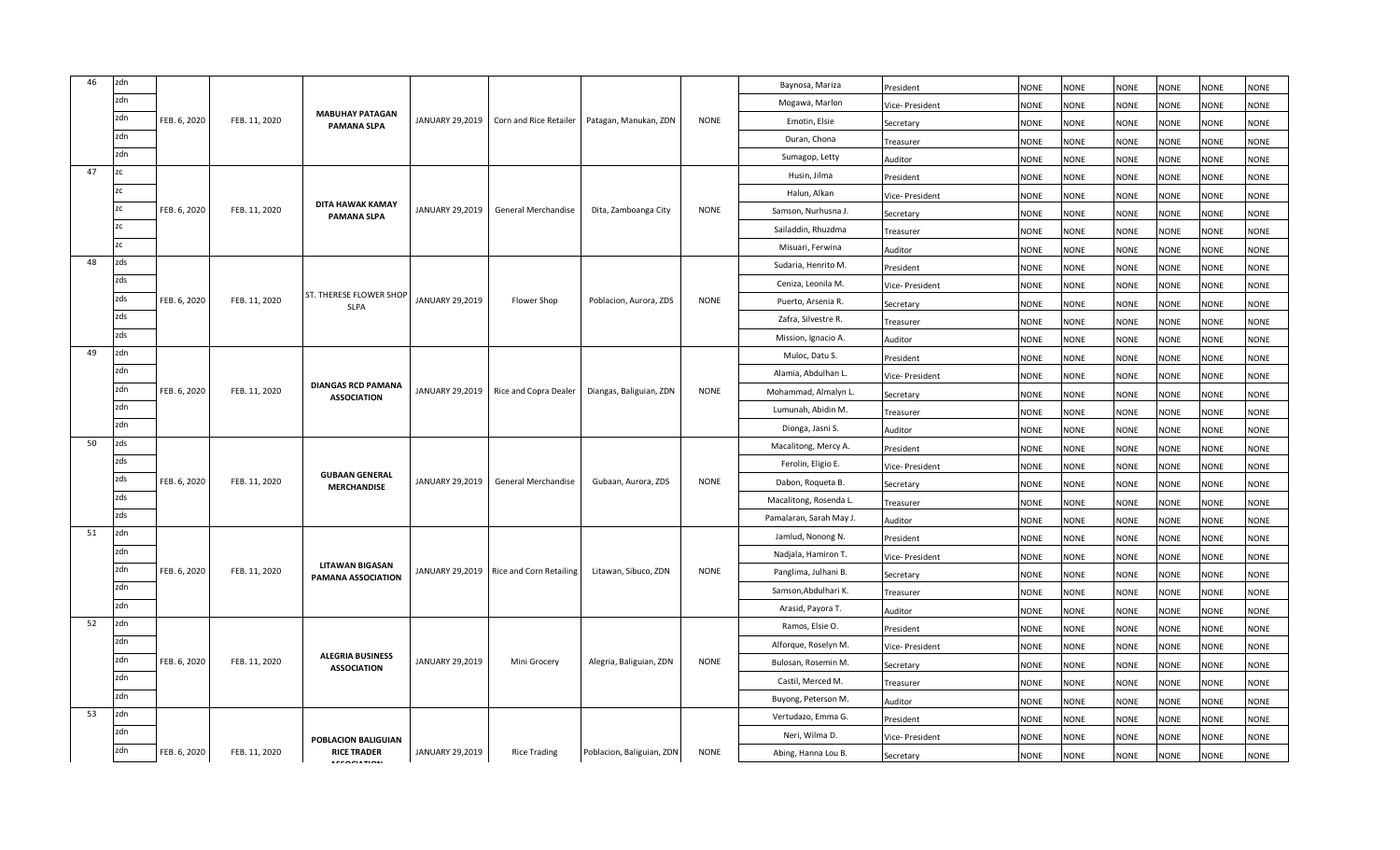| 46 | zdn            |              |               |                                               |                 |                                         |                           |             | Baynosa, Mariza        | President       | <b>NONE</b> | <b>NONE</b> | <b>NONE</b> | <b>NONE</b> | <b>NONE</b> | <b>NONE</b> |
|----|----------------|--------------|---------------|-----------------------------------------------|-----------------|-----------------------------------------|---------------------------|-------------|------------------------|-----------------|-------------|-------------|-------------|-------------|-------------|-------------|
|    | zdn            |              |               |                                               |                 |                                         |                           |             | Mogawa, Marlon         | Vice- President | <b>NONE</b> | <b>NONE</b> | <b>NONE</b> | <b>NONE</b> | <b>NONE</b> | <b>NONE</b> |
|    | zdn            | FEB. 6, 2020 | FEB. 11, 2020 | <b>MABUHAY PATAGAN</b><br><b>PAMANA SLPA</b>  | JANUARY 29,2019 | Corn and Rice Retailer                  | Patagan, Manukan, ZDN     | <b>NONE</b> | Emotin, Elsie          | Secretary       | <b>NONE</b> | <b>NONE</b> | <b>NONE</b> | <b>NONE</b> | <b>NONE</b> | NONE        |
|    | zdn            |              |               |                                               |                 |                                         |                           |             | Duran, Chona           | Treasurer       | <b>NONE</b> | NONE        | <b>NONE</b> | <b>NONE</b> | <b>NONE</b> | NONE        |
|    | zdn            |              |               |                                               |                 |                                         |                           |             | Sumagop, Letty         | Auditor         | <b>NONE</b> | <b>NONE</b> | <b>NONE</b> | <b>NONE</b> | <b>NONE</b> | <b>NONE</b> |
| 47 | zc             |              |               |                                               |                 |                                         |                           |             | Husin, Jilma           | President       | NONE        | <b>NONE</b> | <b>NONE</b> | <b>NONE</b> | <b>NONE</b> | <b>NONE</b> |
|    | 2 <sup>c</sup> |              |               |                                               |                 |                                         |                           |             | Halun, Alkan           | Vice- President | <b>NONE</b> | <b>NONE</b> | <b>NONE</b> | <b>NONE</b> | <b>NONE</b> | <b>NONE</b> |
|    | ZC.            | FEB. 6, 2020 | FEB. 11, 2020 | DITA HAWAK KAMAY<br><b>PAMANA SLPA</b>        | JANUARY 29,2019 | General Merchandise                     | Dita, Zamboanga City      | <b>NONE</b> | Samson, Nurhusna J.    | Secretary       | <b>NONE</b> | NONE        | <b>NONE</b> | <b>NONE</b> | <b>NONE</b> | <b>NONE</b> |
|    |                |              |               |                                               |                 |                                         |                           |             | Sailaddin, Rhuzdma     | Treasurer       | <b>NONE</b> | <b>NONE</b> | <b>NONE</b> | <b>NONE</b> | <b>NONE</b> | NONE        |
|    | <b>7C</b>      |              |               |                                               |                 |                                         |                           |             | Misuari, Ferwina       | Auditor         | <b>NONE</b> | <b>NONE</b> | <b>NONE</b> | <b>NONE</b> | <b>NONE</b> | NONE        |
| 48 | zds            |              |               |                                               |                 |                                         |                           |             | Sudaria, Henrito M.    | President       | <b>NONE</b> | <b>NONE</b> | <b>NONE</b> | <b>NONE</b> | <b>NONE</b> | NONE        |
|    | zds            |              |               |                                               |                 |                                         |                           |             | Ceniza, Leonila M.     | Vice-President  | <b>NONE</b> | <b>NONE</b> | <b>NONE</b> | <b>NONE</b> | <b>NONE</b> | <b>NONE</b> |
|    | zds            | FEB. 6, 2020 | FEB. 11, 2020 | <b>ST. THERESE FLOWER SHOP</b><br><b>SLPA</b> | JANUARY 29,2019 | Flower Shop                             | Poblacion, Aurora, ZDS    | <b>NONE</b> | Puerto, Arsenia R.     | Secretary       | <b>NONE</b> | <b>NONE</b> | <b>NONE</b> | <b>NONE</b> | <b>NONE</b> | <b>NONE</b> |
|    | zds            |              |               |                                               |                 |                                         |                           |             | Zafra, Silvestre R.    | Treasurer       | <b>NONE</b> | NONE        | <b>NONE</b> | <b>NONE</b> | <b>NONE</b> | NONE        |
|    | zds            |              |               |                                               |                 |                                         |                           |             | Mission, Ignacio A.    | Auditor         | <b>NONE</b> | <b>NONE</b> | <b>NONE</b> | <b>NONE</b> | <b>NONE</b> | NONE        |
| 49 | zdn            |              |               |                                               |                 |                                         |                           |             | Muloc, Datu S.         | President       | <b>NONE</b> | NONE        | <b>NONE</b> | <b>NONE</b> | <b>NONE</b> | <b>NONE</b> |
|    | zdn            |              |               | <b>DIANGAS RCD PAMANA</b>                     |                 |                                         |                           |             | Alamia, Abdulhan L.    | Vice- President | <b>NONE</b> | <b>NONE</b> | <b>NONE</b> | <b>NONE</b> | <b>NONE</b> | <b>NONE</b> |
|    | zdn            | FEB. 6, 2020 | FEB. 11, 2020 | <b>ASSOCIATION</b>                            | JANUARY 29,2019 | Rice and Copra Dealer                   | Diangas, Baliguian, ZDN   | <b>NONE</b> | Mohammad, Almalyn L.   | Secretary       | NONE        | NONE        | <b>NONE</b> | <b>NONE</b> | NONE        | <b>NONE</b> |
|    | zdn            |              |               |                                               |                 |                                         |                           |             | Lumunah, Abidin M.     | Treasurer       | <b>NONE</b> | <b>NONE</b> | <b>NONE</b> | <b>NONE</b> | <b>NONE</b> | NONE        |
|    | zdn            |              |               |                                               |                 |                                         |                           |             | Dionga, Jasni S.       | Auditor         | <b>NONE</b> | <b>NONE</b> | <b>NONE</b> | <b>NONE</b> | <b>NONE</b> | <b>NONE</b> |
| 50 | zds            |              |               |                                               |                 |                                         |                           |             | Macalitong, Mercy A.   | President       | <b>NONE</b> | <b>NONE</b> | <b>NONE</b> | <b>NONE</b> | <b>NONE</b> | <b>NONE</b> |
|    | zds            |              |               | <b>GUBAAN GENERAL</b>                         |                 |                                         |                           |             | Ferolin, Eligio E.     | Vice-President  | <b>NONE</b> | <b>NONE</b> | <b>NONE</b> | <b>NONE</b> | <b>NONE</b> | <b>NONE</b> |
|    | zds            | FEB. 6, 2020 | FEB. 11, 2020 | <b>MERCHANDISE</b>                            | JANUARY 29,2019 | General Merchandise                     | Gubaan, Aurora, ZDS       | <b>NONE</b> | Dabon, Roqueta B.      | Secretary       | <b>NONE</b> | <b>NONE</b> | <b>NONE</b> | <b>NONE</b> | <b>NONE</b> | NONE        |
|    | zds            |              |               |                                               |                 |                                         |                           |             | Macalitong, Rosenda L. | Treasurer       | <b>NONE</b> | NONE        | <b>NONE</b> | <b>NONE</b> | <b>NONE</b> | NONE        |
|    | zds            |              |               |                                               |                 |                                         |                           |             | Pamalaran, Sarah May J | Auditor         | <b>NONE</b> | <b>NONE</b> | <b>NONE</b> | <b>NONE</b> | <b>NONE</b> | NONE        |
| 51 | zdn            |              |               |                                               |                 |                                         |                           |             | Jamlud, Nonong N.      | President       | <b>NONE</b> | NONE        | <b>NONE</b> | <b>NONE</b> | <b>NONE</b> | <b>NONE</b> |
|    | zdn            |              |               | <b>LITAWAN BIGASAN</b>                        |                 |                                         |                           |             | Nadjala, Hamiron T.    | Vice- President | NONE        | NONE        | <b>NONE</b> | <b>NONE</b> | <b>NONE</b> | <b>NONE</b> |
|    | zdn            | FEB. 6, 2020 | FEB. 11, 2020 | PAMANA ASSOCIATION                            |                 | JANUARY 29,2019 Rice and Corn Retailing | Litawan, Sibuco, ZDN      | <b>NONE</b> | Panglima, Julhani B.   | Secretary       | NONE        | NONE        | <b>NONE</b> | <b>NONE</b> | <b>NONE</b> | VONE        |
|    | zdn            |              |               |                                               |                 |                                         |                           |             | Samson, Abdulhari K.   | Treasurer       | NONE        | <b>NONE</b> | <b>NONE</b> | <b>NONE</b> | <b>NONE</b> | NONE        |
|    | zdn            |              |               |                                               |                 |                                         |                           |             | Arasid, Payora T.      | Auditor         | <b>NONE</b> | <b>NONE</b> | <b>NONE</b> | <b>NONE</b> | <b>NONE</b> | <b>NONE</b> |
| 52 | zdn            |              |               |                                               |                 |                                         |                           |             | Ramos, Elsie O.        | President       | <b>NONE</b> | <b>NONE</b> | <b>NONE</b> | <b>NONE</b> | <b>NONE</b> | NONE        |
|    | zdn            |              |               | <b>ALEGRIA BUSINESS</b>                       |                 |                                         |                           |             | Alforque, Roselyn M.   | Vice- President | <b>NONE</b> | <b>NONE</b> | <b>NONE</b> | <b>NONE</b> | <b>NONE</b> | NONE        |
|    | zdn            | FEB. 6, 2020 | FEB. 11, 2020 | <b>ASSOCIATION</b>                            | JANUARY 29,2019 | Mini Grocery                            | Alegria, Baliguian, ZDN   | <b>NONE</b> | Bulosan, Rosemin M.    | Secretary       | <b>NONE</b> | <b>NONE</b> | <b>NONE</b> | <b>NONE</b> | <b>NONE</b> | NONE        |
|    | zdn            |              |               |                                               |                 |                                         |                           |             | Castil, Merced M.      | Treasurer       | <b>NONE</b> | <b>NONE</b> | <b>NONE</b> | <b>NONE</b> | <b>NONE</b> | <b>NONE</b> |
|    | zdn            |              |               |                                               |                 |                                         |                           |             | Buyong, Peterson M.    | Auditor         | <b>NONE</b> | <b>NONE</b> | <b>NONE</b> | <b>NONE</b> | <b>NONE</b> | <b>NONE</b> |
| 53 | zdn            |              |               |                                               |                 |                                         |                           |             | Vertudazo, Emma G.     | President       | <b>NONE</b> | <b>NONE</b> | <b>NONE</b> | <b>NONE</b> | <b>NONE</b> | <b>NONE</b> |
|    | zdn            |              |               | POBLACION BALIGUIAN                           |                 |                                         |                           |             | Neri, Wilma D.         | Vice- President | NONE        | NONE        | <b>NONE</b> | <b>NONE</b> | NONE        | <b>JONE</b> |
|    | zdn            | FEB. 6, 2020 | FEB. 11, 2020 | <b>RICE TRADER</b>                            | JANUARY 29,2019 | Rice Trading                            | Poblacion, Baliguian, ZDN | <b>NONE</b> | Abing, Hanna Lou B.    | Secretary       | <b>NONE</b> | <b>NONE</b> | <b>NONE</b> | <b>NONE</b> | <b>NONE</b> | NONE        |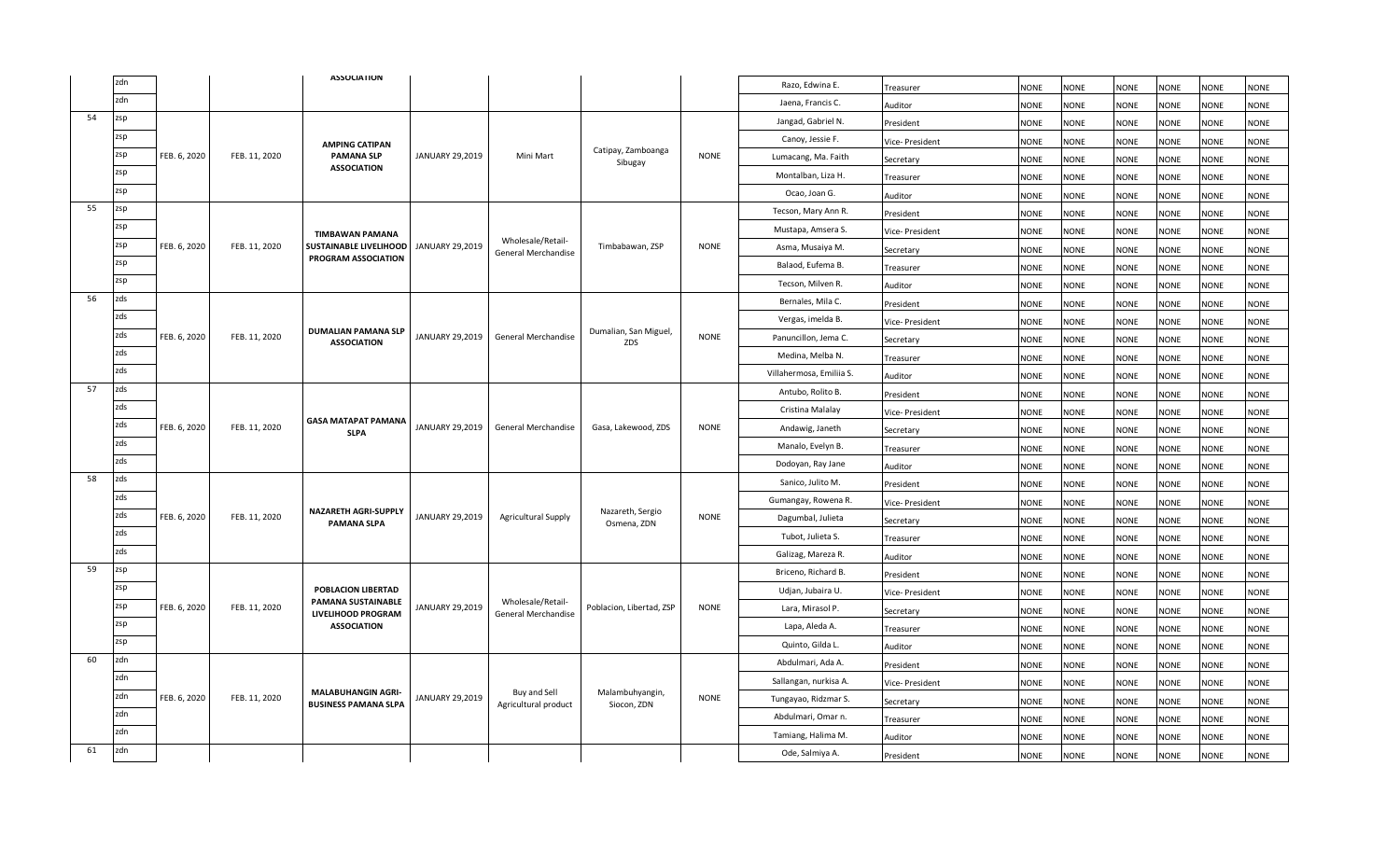|    | zdn |              |               | <b>ASSOCIATION</b>                                       |                 |                                          |                                 |             | Razo, Edwina E.          | Treasurer       | <b>NONE</b> | <b>NONE</b> | NONE        | <b>NONE</b> | <b>NONE</b> | <b>NONE</b> |
|----|-----|--------------|---------------|----------------------------------------------------------|-----------------|------------------------------------------|---------------------------------|-------------|--------------------------|-----------------|-------------|-------------|-------------|-------------|-------------|-------------|
|    | zdn |              |               |                                                          |                 |                                          |                                 |             | Jaena, Francis C.        | Auditor         | <b>NONE</b> | <b>NONE</b> | <b>NONE</b> | <b>NONE</b> | <b>NONE</b> | <b>NONE</b> |
| 54 | zsp |              |               |                                                          |                 |                                          |                                 |             | Jangad, Gabriel N.       | President       | <b>NONE</b> | <b>NONE</b> | <b>NONE</b> | NONE        | <b>NONE</b> | <b>NONE</b> |
|    | zsp |              |               | <b>AMPING CATIPAN</b>                                    |                 |                                          |                                 |             | Canoy, Jessie F.         | Vice- President | <b>NONE</b> | <b>NONE</b> | <b>NONE</b> | <b>NONE</b> | <b>NONE</b> | <b>NONE</b> |
|    | zsp | FEB. 6, 2020 | FEB. 11, 2020 | <b>PAMANA SLP</b>                                        | JANUARY 29,2019 | Mini Mart                                | Catipay, Zamboanga<br>Sibugay   | <b>NONE</b> | Lumacang, Ma. Faith      | Secretary       | <b>NONE</b> | <b>NONE</b> | <b>NONE</b> | <b>NONE</b> | <b>NONE</b> | <b>NONE</b> |
|    | zsp |              |               | <b>ASSOCIATION</b>                                       |                 |                                          |                                 |             | Montalban, Liza H.       | Treasurer       | <b>NONE</b> | NONE        | <b>NONE</b> | <b>NONE</b> | <b>NONE</b> | <b>NONE</b> |
|    | zsp |              |               |                                                          |                 |                                          |                                 |             | Ocao, Joan G.            | Auditor         | <b>NONE</b> | <b>NONE</b> | <b>NONE</b> | <b>NONE</b> | <b>NONE</b> | <b>NONE</b> |
| 55 | zsp |              |               |                                                          |                 |                                          |                                 |             | Tecson, Mary Ann R.      | President       | <b>NONE</b> | <b>NONE</b> | <b>NONE</b> | <b>NONE</b> | <b>NONE</b> | <b>NONE</b> |
|    | zsp |              |               | <b>TIMBAWAN PAMANA</b>                                   |                 |                                          |                                 |             | Mustapa, Amsera S.       | Vice- President | <b>NONE</b> | <b>NONE</b> | NONE        | <b>NONE</b> | <b>NONE</b> | <b>NONE</b> |
|    | zsp | FEB. 6, 2020 | FEB. 11, 2020 | SUSTAINABLE LIVELIHOOD                                   | JANUARY 29,2019 | Wholesale/Retail-<br>General Merchandise | Timbabawan, ZSP                 | <b>NONE</b> | Asma, Musaiya M.         | Secretary       | <b>NONE</b> | <b>NONE</b> | <b>NONE</b> | <b>NONE</b> | <b>NONE</b> | <b>NONE</b> |
|    | zsp |              |               | PROGRAM ASSOCIATION                                      |                 |                                          |                                 |             | Balaod, Eufema B.        | Treasurer       | <b>NONE</b> | NONE        | <b>NONE</b> | NONE        | <b>NONE</b> | <b>NONE</b> |
|    | zsp |              |               |                                                          |                 |                                          |                                 |             | Tecson, Milven R.        | Auditor         | <b>NONE</b> | <b>NONE</b> | <b>NONE</b> | <b>NONE</b> | <b>NONE</b> | <b>NONE</b> |
| 56 | zds |              |               |                                                          |                 |                                          |                                 |             | Bernales, Mila C.        | President       | NONE        | <b>NONE</b> | <b>NONE</b> | NONE        | <b>NONE</b> | <b>NONE</b> |
|    | zds |              |               |                                                          |                 |                                          |                                 |             | Vergas, imelda B.        | Vice- President | NONE        | <b>NONE</b> | <b>NONE</b> | NONE        | <b>NONE</b> | <b>NONE</b> |
|    | zds | FEB. 6, 2020 | FEB. 11, 2020 | <b>DUMALIAN PAMANA SLP</b><br><b>ASSOCIATION</b>         | JANUARY 29,2019 | General Merchandise                      | Dumalian, San Miguel,<br>ZDS    | <b>NONE</b> | Panuncillon, Jema C.     | Secretary       | <b>NONE</b> | <b>NONE</b> | <b>NONE</b> | <b>NONE</b> | <b>NONE</b> | <b>NONE</b> |
|    | zds |              |               |                                                          |                 |                                          |                                 |             | Medina, Melba N.         | Treasurer       | <b>NONE</b> | <b>NONE</b> | <b>NONE</b> | <b>NONE</b> | <b>NONE</b> | <b>NONE</b> |
|    | zds |              |               |                                                          |                 |                                          |                                 |             | Villahermosa, Emiliia S. | Auditor         | <b>NONE</b> | <b>NONE</b> | NONE        | <b>NONE</b> | <b>NONE</b> | <b>NONE</b> |
| 57 | zds |              |               |                                                          |                 |                                          |                                 |             | Antubo, Rolito B.        | President       | <b>NONE</b> | NONE        | NONE        | <b>NONE</b> | <b>NONE</b> | <b>NONE</b> |
|    | zds |              |               |                                                          |                 |                                          |                                 |             | Cristina Malalay         | Vice- President | <b>NONE</b> | NONE        | NONE        | NONE        | <b>NONE</b> | <b>NONE</b> |
|    | zds | FEB. 6, 2020 | FEB. 11, 2020 | <b>GASA MATAPAT PAMANA</b><br><b>SLPA</b>                | JANUARY 29,2019 | General Merchandise                      | Gasa, Lakewood, ZDS             | <b>NONE</b> | Andawig, Janeth          | Secretary       | <b>NONE</b> | <b>NONE</b> | <b>NONE</b> | NONE        | <b>NONE</b> | <b>NONE</b> |
|    | zds |              |               |                                                          |                 |                                          |                                 |             | Manalo, Evelyn B.        | Treasurer       | <b>NONE</b> | <b>NONE</b> | <b>NONE</b> | <b>NONE</b> | <b>NONE</b> | <b>NONE</b> |
|    | zds |              |               |                                                          |                 |                                          |                                 |             | Dodoyan, Ray Jane        | Auditor         | <b>NONE</b> | <b>NONE</b> | <b>NONE</b> | <b>NONE</b> | <b>NONE</b> | <b>NONE</b> |
| 58 | zds |              |               |                                                          |                 |                                          |                                 |             | Sanico, Julito M.        | President       | <b>NONE</b> | <b>NONE</b> | <b>NONE</b> | NONE        | <b>NONE</b> | <b>NONE</b> |
|    | zds |              |               |                                                          |                 |                                          |                                 |             | Gumangay, Rowena R.      | Vice- President | <b>NONE</b> | <b>NONE</b> | <b>NONE</b> | <b>NONE</b> | <b>NONE</b> | <b>NONE</b> |
|    | zds | FEB. 6, 2020 | FEB. 11, 2020 | NAZARETH AGRI-SUPPLY<br><b>PAMANA SLPA</b>               | JANUARY 29,2019 | <b>Agricultural Supply</b>               | Nazareth, Sergio<br>Osmena, ZDN | <b>NONE</b> | Dagumbal, Julieta        | Secretary       | <b>NONE</b> | <b>NONE</b> | <b>NONE</b> | <b>NONE</b> | <b>NONE</b> | <b>NONE</b> |
|    | zds |              |               |                                                          |                 |                                          |                                 |             | Tubot, Julieta S.        | Treasurer       | NONE        | <b>NONE</b> | <b>NONE</b> | NONE        | <b>NONE</b> | <b>NONE</b> |
|    | zds |              |               |                                                          |                 |                                          |                                 |             | Galizag, Mareza R.       | Auditor         | <b>NONE</b> | NONE        | <b>NONE</b> | NONE        | <b>NONE</b> | <b>NONE</b> |
| 59 | zsp |              |               |                                                          |                 |                                          |                                 |             | Briceno, Richard B.      | President       | <b>NONE</b> | <b>NONE</b> | <b>NONE</b> | <b>NONE</b> | <b>NONE</b> | <b>NONE</b> |
|    | zsp |              |               | POBLACION LIBERTAD                                       |                 |                                          |                                 |             | Udjan, Jubaira U.        | Vice- President | <b>NONE</b> | <b>NONE</b> | <b>NONE</b> | <b>NONE</b> | <b>NONE</b> | <b>NONE</b> |
|    | zsp | FEB. 6, 2020 | FEB. 11, 2020 | <b>PAMANA SUSTAINABLE</b><br>LIVELIHOOD PROGRAM          | JANUARY 29,2019 | Wholesale/Retail-<br>General Merchandise | Poblacion, Libertad, ZSP        | <b>NONE</b> | Lara, Mirasol P.         | Secretary       | <b>NONE</b> | <b>NONE</b> | <b>NONE</b> | <b>NONE</b> | <b>NONE</b> | <b>NONE</b> |
|    | zsp |              |               | <b>ASSOCIATION</b>                                       |                 |                                          |                                 |             | Lapa, Aleda A.           | Treasurer       | <b>NONE</b> | <b>NONE</b> | <b>NONE</b> | <b>NONE</b> | <b>NONE</b> | <b>NONE</b> |
|    | zsp |              |               |                                                          |                 |                                          |                                 |             | Quinto, Gilda L.         | Auditor         | <b>NONE</b> | <b>NONE</b> | <b>NONE</b> | NONE        | <b>NONE</b> | <b>NONE</b> |
| 60 | zdn |              |               |                                                          |                 |                                          |                                 |             | Abdulmari, Ada A.        | President       | <b>NONE</b> | <b>NONE</b> | <b>NONE</b> | <b>NONE</b> | <b>NONE</b> | <b>NONE</b> |
|    | zdn |              |               |                                                          |                 |                                          |                                 |             | Sallangan, nurkisa A.    | Vice- President | <b>NONE</b> | NONE        | <b>NONE</b> | <b>NONE</b> | <b>NONE</b> | <b>NONE</b> |
|    | zdn | FEB. 6, 2020 | FEB. 11, 2020 | <b>MALABUHANGIN AGRI-</b><br><b>BUSINESS PAMANA SLPA</b> | JANUARY 29,2019 | Buy and Sell<br>Agricultural product     | Malambuhyangin,<br>Siocon, ZDN  | <b>NONE</b> | Tungayao, Ridzmar S.     | Secretary       | <b>NONE</b> | NONE        | <b>NONE</b> | <b>NONE</b> | <b>NONE</b> | <b>NONE</b> |
|    | zdn |              |               |                                                          |                 |                                          |                                 |             | Abdulmari, Omar n.       | Treasurer       | <b>NONE</b> | <b>NONE</b> | <b>NONE</b> | <b>NONE</b> | <b>NONE</b> | <b>NONE</b> |
|    | zdn |              |               |                                                          |                 |                                          |                                 |             | Tamiang, Halima M.       | Auditor         | <b>NONE</b> | <b>NONE</b> | <b>NONE</b> | <b>NONE</b> | <b>NONE</b> | <b>NONE</b> |
| 61 | zdn |              |               |                                                          |                 |                                          |                                 |             | Ode, Salmiya A.          | President       | <b>NONE</b> | <b>NONE</b> | <b>NONE</b> | <b>NONE</b> | <b>NONE</b> | <b>NONE</b> |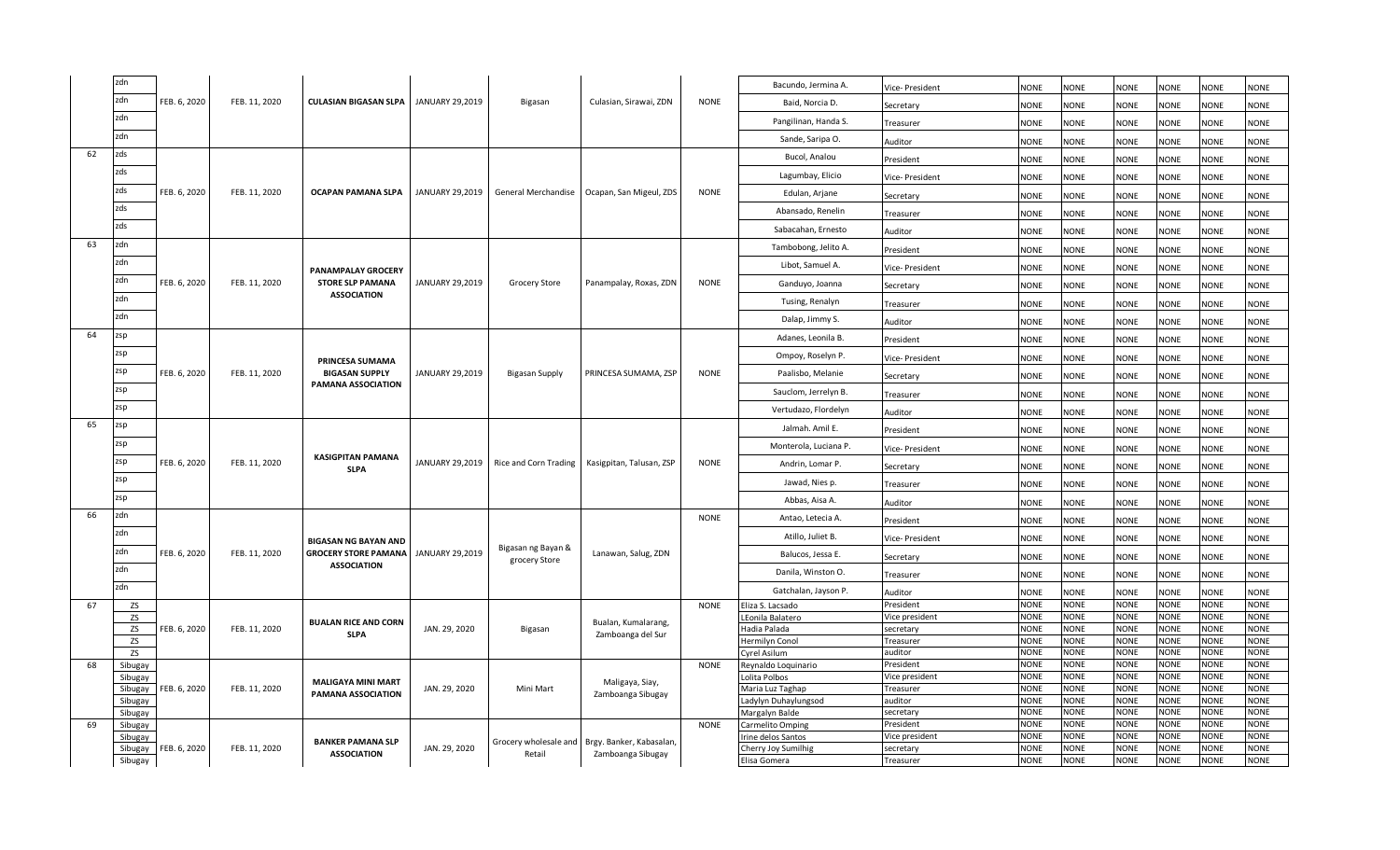|    | zdn                |              |               |                                                      |                 |                                     |                          |             | Bacundo, Jermina A.                      | Vice- President             | <b>NONE</b>                | <b>NONE</b>         | <b>NONE</b>                | <b>NONE</b>                | <b>NONE</b>                | <b>NONE</b>                |
|----|--------------------|--------------|---------------|------------------------------------------------------|-----------------|-------------------------------------|--------------------------|-------------|------------------------------------------|-----------------------------|----------------------------|---------------------|----------------------------|----------------------------|----------------------------|----------------------------|
|    | zdn                | FEB. 6, 2020 | FEB. 11, 2020 | <b>CULASIAN BIGASAN SLPA</b>                         | JANUARY 29,2019 | Bigasan                             | Culasian, Sirawai, ZDN   | <b>NONE</b> | Baid, Norcia D.                          | Secretary                   | <b>NONE</b>                | <b>NONE</b>         | <b>NONE</b>                | <b>NONE</b>                | <b>NONE</b>                | <b>NONE</b>                |
|    | zdn                |              |               |                                                      |                 |                                     |                          |             | Pangilinan, Handa S.                     | Treasurer                   | <b>NONE</b>                | NONE                | NONE                       | <b>NONE</b>                | <b>NONE</b>                | <b>NONE</b>                |
|    | zdn                |              |               |                                                      |                 |                                     |                          |             | Sande, Saripa O.                         | Auditor                     | <b>NONE</b>                | <b>NONE</b>         | <b>NONE</b>                | <b>NONE</b>                | <b>NONE</b>                | <b>NONE</b>                |
| 62 | zds                |              |               |                                                      |                 |                                     |                          |             | Bucol, Analou                            | President                   | <b>NONE</b>                | <b>NONE</b>         | <b>NONE</b>                | <b>NONE</b>                | <b>NONE</b>                | <b>NONE</b>                |
|    | zds                |              |               |                                                      |                 |                                     |                          |             | Lagumbay, Elicio                         | Vice- President             | <b>NONE</b>                | NONE                | <b>NONE</b>                | <b>NONE</b>                | <b>NONE</b>                | <b>NONE</b>                |
|    | zds                | FEB. 6, 2020 | FEB. 11, 2020 | OCAPAN PAMANA SLPA                                   | JANUARY 29,2019 | General Merchandise                 | Ocapan, San Migeul, ZDS  | <b>NONE</b> | Edulan, Arjane                           | Secretary                   | <b>NONE</b>                | <b>NONE</b>         | <b>NONE</b>                | <b>NONE</b>                | <b>NONE</b>                | <b>NONE</b>                |
|    | zds                |              |               |                                                      |                 |                                     |                          |             | Abansado, Renelin                        | Treasurer                   | <b>NONE</b>                | <b>NONE</b>         | <b>NONE</b>                | <b>NONE</b>                | <b>NONE</b>                | <b>NONE</b>                |
|    | zds                |              |               |                                                      |                 |                                     |                          |             | Sabacahan, Ernesto                       | Auditor                     | <b>NONE</b>                | <b>NONE</b>         | <b>NONE</b>                | <b>NONE</b>                | <b>NONE</b>                | <b>NONE</b>                |
| 63 | zdn                |              |               |                                                      |                 |                                     |                          |             | Tambobong, Jelito A.                     | President                   | <b>NONE</b>                | <b>NONE</b>         | <b>NONE</b>                | <b>NONE</b>                | <b>NONE</b>                | <b>NONE</b>                |
|    | zdn                |              |               |                                                      |                 |                                     |                          |             | Libot, Samuel A.                         | Vice- President             | <b>NONE</b>                | <b>NONE</b>         | <b>NONE</b>                | <b>NONE</b>                | <b>NONE</b>                | <b>NONE</b>                |
|    | zdn                | FEB. 6, 2020 | FEB. 11, 2020 | <b>PANAMPALAY GROCERY</b><br><b>STORE SLP PAMANA</b> | JANUARY 29,2019 | Grocery Store                       | Panampalay, Roxas, ZDN   | <b>NONE</b> | Ganduyo, Joanna                          | Secretary                   | <b>NONE</b>                | NONE                | NONE                       | <b>NONE</b>                | <b>NONE</b>                | <b>NONE</b>                |
|    | zdn                |              |               | <b>ASSOCIATION</b>                                   |                 |                                     |                          |             | Tusing, Renalyn                          |                             | <b>NONE</b>                | <b>NONE</b>         | <b>NONE</b>                | <b>NONE</b>                | <b>NONE</b>                | <b>NONE</b>                |
|    | zdn                |              |               |                                                      |                 |                                     |                          |             | Dalap, Jimmy S.                          | Treasurer                   |                            |                     |                            |                            |                            |                            |
| 64 | zsp                |              |               |                                                      |                 |                                     |                          |             | Adanes, Leonila B.                       | Auditor                     | <b>NONE</b>                | <b>NONE</b>         | <b>NONE</b>                | <b>NONE</b>                | <b>NONE</b>                | <b>NONE</b>                |
|    | zsp                |              |               |                                                      |                 |                                     |                          |             |                                          | President                   | <b>NONE</b>                | <b>NONE</b>         | <b>NONE</b>                | <b>NONE</b>                | <b>NONE</b>                | <b>NONE</b>                |
|    | zsp                |              |               | <b>PRINCESA SUMAMA</b>                               |                 |                                     |                          |             | Ompoy, Roselyn P.                        | Vice-President              | <b>NONE</b>                | <b>NONE</b>         | <b>NONE</b>                | <b>NONE</b>                | <b>NONE</b>                | <b>NONE</b>                |
|    | zsp                | FEB. 6, 2020 | FEB. 11, 2020 | <b>BIGASAN SUPPLY</b><br>PAMANA ASSOCIATION          | JANUARY 29,2019 | <b>Bigasan Supply</b>               | PRINCESA SUMAMA, ZSP     | <b>NONE</b> | Paalisbo, Melanie                        | Secretary                   | <b>NONE</b>                | <b>NONE</b>         | <b>NONE</b>                | <b>NONE</b>                | <b>NONE</b>                | <b>NONE</b>                |
|    |                    |              |               |                                                      |                 |                                     |                          |             | Sauclom, Jerrelyn B.                     | Treasurer                   | <b>NONE</b>                | <b>NONE</b>         | <b>NONE</b>                | <b>NONE</b>                | <b>NONE</b>                | <b>NONE</b>                |
|    | zsp                |              |               |                                                      |                 |                                     |                          |             | Vertudazo, Flordelyn                     | Auditor                     | <b>NONE</b>                | <b>NONE</b>         | <b>NONE</b>                | <b>NONE</b>                | <b>NONE</b>                | <b>NONE</b>                |
| 65 | zsp                |              |               |                                                      |                 |                                     |                          |             | Jalmah. Amil E.                          | President                   | <b>NONE</b>                | NONE                | <b>NONE</b>                | <b>NONE</b>                | <b>NONE</b>                | <b>NONE</b>                |
|    | zsp                |              |               | <b>KASIGPITAN PAMANA</b>                             |                 |                                     |                          |             | Monterola, Luciana P.                    | Vice- President             | <b>NONE</b>                | <b>NONE</b>         | <b>NONE</b>                | <b>NONE</b>                | <b>NONE</b>                | <b>NONE</b>                |
|    | zsp                | FEB. 6, 2020 | FEB. 11, 2020 | <b>SLPA</b>                                          | JANUARY 29,2019 | Rice and Corn Trading               | Kasigpitan, Talusan, ZSP | <b>NONE</b> | Andrin, Lomar P.                         | Secretary                   | <b>NONE</b>                | <b>NONE</b>         | <b>NONE</b>                | <b>NONE</b>                | <b>NONE</b>                | <b>NONE</b>                |
|    | zsp                |              |               |                                                      |                 |                                     |                          |             | Jawad, Nies p.                           | Treasurer                   | <b>NONE</b>                | <b>NONE</b>         | <b>NONE</b>                | <b>NONE</b>                | <b>NONE</b>                | <b>NONE</b>                |
|    | zsp                |              |               |                                                      |                 |                                     |                          |             | Abbas, Aisa A.                           | Auditor                     | NONE                       | NONE                | NONE                       | <b>NONE</b>                | <b>NONE</b>                | <b>NONE</b>                |
| 66 | zdn                |              |               |                                                      |                 |                                     |                          | <b>NONE</b> | Antao, Letecia A.                        | President                   | <b>NONE</b>                | <b>NONE</b>         | <b>NONE</b>                | <b>NONE</b>                | <b>NONE</b>                | <b>NONE</b>                |
|    | zdn                |              |               | <b>BIGASAN NG BAYAN AND</b>                          |                 |                                     |                          |             | Atillo, Juliet B.                        | /ice- President             | <b>NONE</b>                | <b>NONE</b>         | <b>NONE</b>                | <b>NONE</b>                | <b>NONE</b>                | <b>NONE</b>                |
|    | zdn                | FEB. 6, 2020 | FEB. 11, 2020 | <b>GROCERY STORE PAMANA</b>                          | JANUARY 29,2019 | Bigasan ng Bayan &<br>grocery Store | Lanawan, Salug, ZDN      |             | Balucos, Jessa E.                        | Secretary                   | <b>NONE</b>                | <b>NONE</b>         | <b>NONE</b>                | <b>NONE</b>                | <b>NONE</b>                | <b>NONE</b>                |
|    | zdn                |              |               | <b>ASSOCIATION</b>                                   |                 |                                     |                          |             | Danila, Winston O.                       | Treasurer                   | <b>NONE</b>                | NONE                | <b>NONE</b>                | <b>NONE</b>                | <b>NONE</b>                | <b>NONE</b>                |
|    | zdn                |              |               |                                                      |                 |                                     |                          |             | Gatchalan, Jayson P.                     | Auditor                     | <b>NONE</b>                | NONE                | <b>NONE</b>                | <b>NONE</b>                | <b>NONE</b>                | <b>NONE</b>                |
| 67 | <b>ZS</b>          |              |               |                                                      |                 |                                     |                          | <b>NONE</b> | Eliza S. Lacsado                         | President                   | <b>NONE</b>                | <b>NONE</b>         | <b>NONE</b>                | <b>NONE</b>                | <b>NONE</b>                | <b>NONE</b>                |
|    | ZS                 |              |               | <b>BUALAN RICE AND CORN</b>                          |                 |                                     | Bualan, Kumalarang,      |             | LEonila Balatero                         | Vice president              | <b>NONE</b>                | NONE                | <b>NONE</b>                | <b>NONE</b>                | <b>NONE</b>                | <b>NONE</b>                |
|    | ZS                 | FEB. 6, 2020 | FEB. 11, 2020 | <b>SLPA</b>                                          | JAN. 29, 2020   | Bigasan                             | Zamboanga del Sur        |             | Hadia Palada                             | secretary                   | <b>NONE</b>                | <b>NONE</b>         | NONE                       | <b>NONE</b>                | <b>NONE</b>                | <b>NONE</b>                |
|    | ZS                 |              |               |                                                      |                 |                                     |                          |             | Hermilyn Conol                           | Treasurer                   | <b>NONE</b>                | <b>NONE</b>         | <b>NONE</b>                | <b>NONE</b>                | <b>NONE</b>                | <b>NONE</b>                |
|    | ZS                 |              |               |                                                      |                 |                                     |                          |             | Cyrel Asilum                             | auditor                     | <b>NONE</b>                | <b>NONE</b>         | <b>NONE</b>                | <b>NONE</b>                | <b>NONE</b>                | <b>NONE</b>                |
| 68 | Sibugay            |              |               |                                                      |                 |                                     |                          | <b>NONE</b> | Reynaldo Loquinario                      | President                   | <b>NONE</b>                | <b>NONE</b>         | <b>NONE</b>                | <b>NONE</b>                | <b>NONE</b>                | <b>NONE</b>                |
|    | Sibugay            | FEB. 6, 2020 | FEB. 11, 2020 | <b>MALIGAYA MINI MART</b>                            | JAN. 29, 2020   | Mini Mart                           | Maligaya, Siay,          |             | Lolita Polbos                            | Vice president<br>Treasurer | <b>NONE</b><br><b>NONE</b> | NONE<br><b>NONE</b> | <b>NONE</b><br><b>NONE</b> | <b>NONE</b><br><b>NONE</b> | <b>NONE</b><br><b>NONE</b> | <b>NONE</b><br><b>NONE</b> |
|    | Sibugay<br>Sibugay |              |               | PAMANA ASSOCIATION                                   |                 |                                     | Zamboanga Sibugay        |             | Maria Luz Taghap<br>Ladylyn Duhaylungsod | auditor                     | <b>NONE</b>                | NONE                | <b>NONE</b>                | <b>NONE</b>                | <b>NONE</b>                | <b>NONE</b>                |
|    | Sibugay            |              |               |                                                      |                 |                                     |                          |             | Margalyn Balde                           | secretary                   | <b>NONE</b>                | NONE                | NONE                       | <b>NONE</b>                | <b>NONE</b>                | <b>NONE</b>                |
| 69 | Sibugay            |              |               |                                                      |                 |                                     |                          | <b>NONE</b> | Carmelito Omping                         | President                   | <b>NONE</b>                | NONE                | <b>NONE</b>                | <b>NONE</b>                | <b>NONE</b>                | <b>NONE</b>                |
|    | Sibugay            |              |               |                                                      |                 |                                     |                          |             | Irine delos Santos                       | Vice president              | <b>NONE</b>                | <b>NONE</b>         | <b>NONE</b>                | <b>NONE</b>                | <b>NONE</b>                | <b>NONE</b>                |
|    | Sibugay            | FEB. 6, 2020 | FEB. 11, 2020 | <b>BANKER PAMANA SLP</b>                             | JAN. 29, 2020   | Grocery wholesale and               | Brgy. Banker, Kabasalan, |             | Cherry Joy Sumilhig                      | secretary                   | <b>NONE</b>                | <b>NONE</b>         | <b>NONE</b>                | <b>NONE</b>                | <b>NONE</b>                | <b>NONE</b>                |
|    | Sibugay            |              |               | <b>ASSOCIATION</b>                                   |                 | Retail                              | Zamboanga Sibugay        |             | Elisa Gomera                             | Treasurer                   | <b>NONE</b>                | <b>NONE</b>         | <b>NONE</b>                | <b>NONE</b>                | <b>NONE</b>                | <b>NONE</b>                |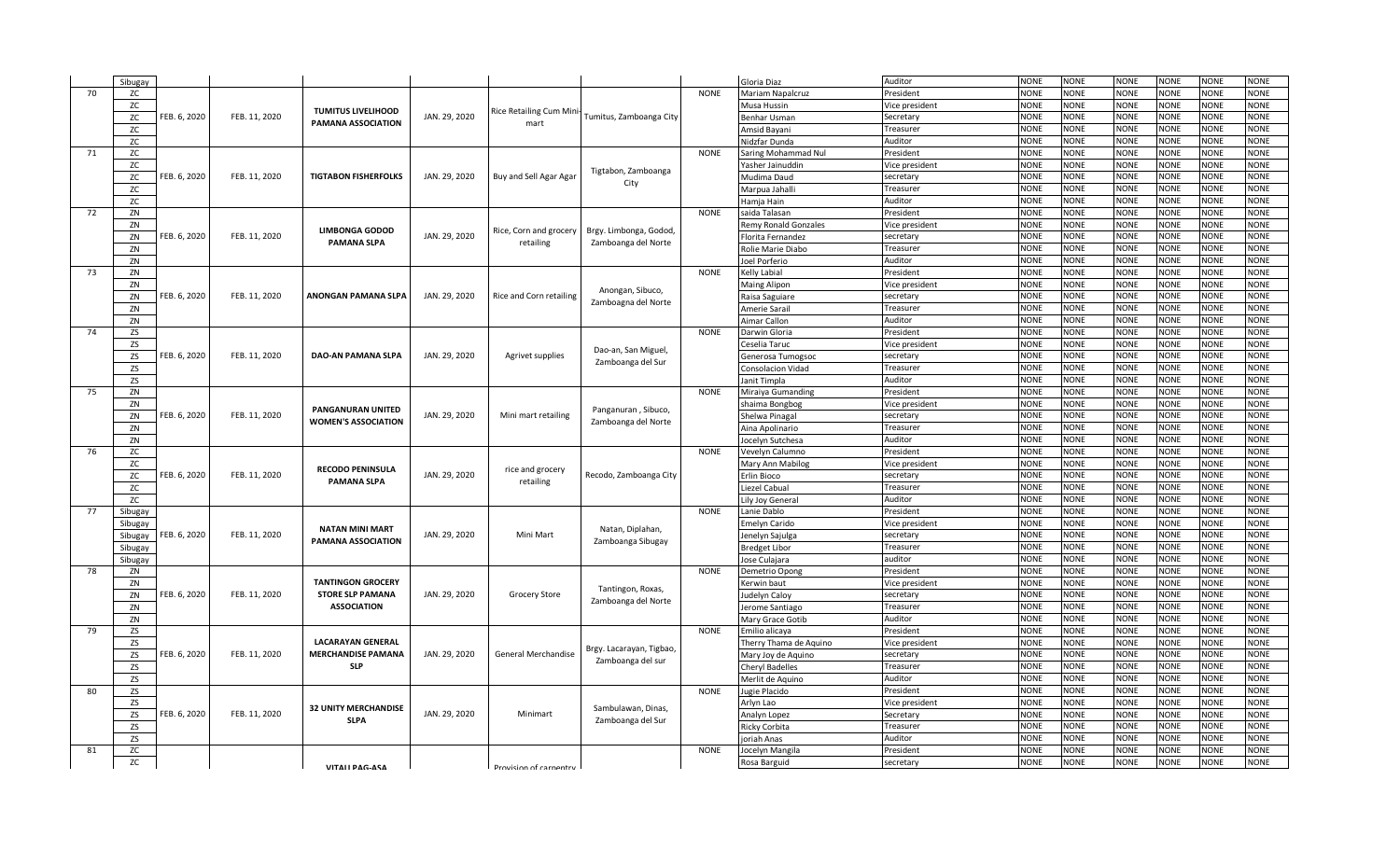|    | Sibugay   |              |               |                             |               |                                |                          |             | Gloria Diaz             | Auditor        | <b>NONE</b> | <b>NONE</b> | <b>NONE</b> | <b>NONE</b> | <b>NONE</b> | <b>NONE</b> |
|----|-----------|--------------|---------------|-----------------------------|---------------|--------------------------------|--------------------------|-------------|-------------------------|----------------|-------------|-------------|-------------|-------------|-------------|-------------|
| 70 | ZC        |              |               |                             |               |                                |                          | <b>NONE</b> | <b>Mariam Napalcruz</b> | President      | <b>NONE</b> | <b>NONE</b> | <b>NONE</b> | <b>NONE</b> | <b>NONE</b> | <b>NONE</b> |
|    | ZC        |              |               | <b>TUMITUS LIVELIHOOD</b>   |               | <b>Rice Retailing Cum Mini</b> |                          |             | Musa Hussin             | Vice president | <b>NONE</b> | <b>NONE</b> | <b>NONE</b> | <b>NONE</b> | <b>NONE</b> | <b>NONE</b> |
|    | ZC        | FEB. 6, 2020 | FEB. 11, 2020 | <b>PAMANA ASSOCIATION</b>   | JAN. 29, 2020 | mart                           | Tumitus, Zamboanga City  |             | Benhar Usman            | Secretary      | <b>NONE</b> | <b>NONE</b> | <b>NONE</b> | <b>NONE</b> | <b>NONE</b> | <b>NONE</b> |
|    | ZC        |              |               |                             |               |                                |                          |             | Amsid Bayani            | Treasurer      | <b>NONE</b> | <b>NONE</b> | <b>NONE</b> | <b>NONE</b> | <b>NONE</b> | <b>NONE</b> |
|    | ZC        |              |               |                             |               |                                |                          |             | <b>Nidzfar Dunda</b>    | Auditor        | <b>NONE</b> | <b>NONE</b> | <b>NONE</b> | <b>NONE</b> | <b>NONE</b> | <b>NONE</b> |
| 71 | ZC        |              |               |                             |               |                                |                          | <b>NONE</b> | Saring Mohammad Nul     | President      | <b>NONE</b> | <b>NONE</b> | <b>NONE</b> | <b>NONE</b> | <b>NONE</b> | <b>NONE</b> |
|    | ZC        |              |               |                             |               |                                |                          |             | Yasher Jainuddin        | Vice president | <b>NONE</b> | <b>NONE</b> | <b>NONE</b> | <b>NONE</b> | <b>NONE</b> | <b>NONE</b> |
|    | ZC        | FEB. 6, 2020 | FEB. 11, 2020 | <b>TIGTABON FISHERFOLKS</b> | JAN. 29, 2020 | Buy and Sell Agar Agar         | Tigtabon, Zamboanga      |             | Mudima Daud             | secretary      | <b>NONE</b> | <b>NONE</b> | <b>NONE</b> | <b>NONE</b> | <b>NONE</b> | <b>NONE</b> |
|    | ZC        |              |               |                             |               |                                | City                     |             | Marpua Jahalli          | Treasurei      | <b>NONE</b> | <b>NONE</b> | <b>NONE</b> | <b>NONE</b> | <b>NONE</b> | <b>NONE</b> |
|    | ZC        |              |               |                             |               |                                |                          |             | Hamja Hain              | Auditor        | <b>NONE</b> | <b>NONE</b> | <b>NONE</b> | <b>NONE</b> | <b>NONE</b> | <b>NONE</b> |
| 72 | ZN        |              |               |                             |               |                                |                          | <b>NONE</b> | saida Talasan           | President      | <b>NONE</b> | <b>NONE</b> | <b>NONE</b> | <b>NONE</b> | <b>NONE</b> | <b>NONE</b> |
|    | ZN        |              |               |                             |               |                                |                          |             | Remy Ronald Gonzales    | Vice president | <b>NONE</b> | <b>NONE</b> | <b>NONE</b> | <b>NONE</b> | <b>NONE</b> | <b>NONE</b> |
|    | ZN        | FEB. 6, 2020 | FEB. 11, 2020 | <b>LIMBONGA GODOD</b>       | JAN. 29, 2020 | Rice, Corn and grocery         | Brgy. Limbonga, Godod,   |             | Florita Fernandez       | secretary      | <b>NONE</b> | <b>NONE</b> | <b>NONE</b> | <b>NONE</b> | <b>NONE</b> | <b>NONE</b> |
|    | ZN        |              |               | <b>PAMANA SLPA</b>          |               | retailing                      | Zamboanga del Norte      |             | Rolie Marie Diabo       | Treasurer      | <b>NONE</b> | <b>NONE</b> | <b>NONE</b> | <b>NONE</b> | <b>NONE</b> | <b>NONE</b> |
|    | ZN        |              |               |                             |               |                                |                          |             | Joel Porferio           | Auditor        | <b>NONE</b> | <b>NONE</b> | <b>NONE</b> | <b>NONE</b> | <b>NONE</b> | <b>NONE</b> |
| 73 | ZN        |              |               |                             |               |                                |                          | <b>NONE</b> | Kelly Labial            | President      | <b>NONE</b> | <b>NONE</b> | NONE        | <b>NONE</b> | NONE        | <b>NONE</b> |
|    | ZN        |              |               |                             |               |                                |                          |             | Maing Alipon            | Vice president | <b>NONE</b> | <b>NONE</b> | <b>NONE</b> | <b>NONE</b> | <b>NONE</b> | <b>NONE</b> |
|    | ZN        | FEB. 6, 2020 | FEB. 11, 2020 | <b>ANONGAN PAMANA SLPA</b>  | JAN. 29, 2020 | Rice and Corn retailing        | Anongan, Sibuco,         |             | Raisa Saguiare          | secretary      | <b>NONE</b> | <b>NONE</b> | <b>NONE</b> | <b>NONE</b> | <b>NONE</b> | <b>VONE</b> |
|    | ZN        |              |               |                             |               |                                | Zamboagna del Norte      |             | Amerie Sarail           | Treasurer      | <b>NONE</b> | <b>NONE</b> | <b>NONE</b> | <b>NONE</b> | <b>NONE</b> | <b>NONE</b> |
|    | ZN        |              |               |                             |               |                                |                          |             | Aimar Callon            | Auditor        | <b>NONE</b> | <b>NONE</b> | <b>NONE</b> | <b>NONE</b> | <b>NONE</b> | <b>NONE</b> |
| 74 | <b>ZS</b> |              |               |                             |               |                                |                          | <b>NONE</b> | Darwin Gloria           | President      | <b>NONE</b> | <b>NONE</b> | <b>NONE</b> | <b>NONE</b> | <b>NONE</b> | <b>NONE</b> |
|    | ZS        |              |               |                             |               |                                |                          |             | Ceselia Taruc           | Vice president | <b>NONE</b> | <b>NONE</b> | <b>NONE</b> | <b>NONE</b> | <b>NONE</b> | <b>NONE</b> |
|    | <b>ZS</b> | FEB. 6, 2020 | FEB. 11, 2020 | <b>DAO-AN PAMANA SLPA</b>   | JAN. 29, 2020 | Agrivet supplies               | Dao-an, San Miguel,      |             | Generosa Tumogsoc       | secretary      | <b>NONE</b> | <b>NONE</b> | <b>NONE</b> | <b>NONE</b> | <b>NONE</b> | <b>NONE</b> |
|    | <b>ZS</b> |              |               |                             |               |                                | Zamboanga del Sur        |             | Consolacion Vidad       | Treasurer      | <b>NONE</b> | <b>NONE</b> | <b>NONE</b> | <b>NONE</b> | <b>NONE</b> | <b>NONE</b> |
|    | <b>ZS</b> |              |               |                             |               |                                |                          |             | anit Timpla             | Auditor        | <b>NONE</b> | <b>NONE</b> | <b>NONE</b> | <b>NONE</b> | <b>NONE</b> | <b>NONE</b> |
| 75 | ZN        |              |               |                             |               |                                |                          | <b>NONE</b> | Miraiya Gumanding       | President      | <b>NONE</b> | <b>NONE</b> | <b>NONE</b> | <b>NONE</b> | <b>NONE</b> | <b>NONE</b> |
|    | ZN        |              |               |                             |               |                                |                          |             | shaima Bongbog          | Vice president | <b>NONE</b> | <b>NONE</b> | <b>NONE</b> | <b>NONE</b> | <b>NONE</b> | <b>NONE</b> |
|    | ZN        | FEB. 6, 2020 | FEB. 11, 2020 | <b>PANGANURAN UNITED</b>    | JAN. 29, 2020 | Mini mart retailing            | Panganuran, Sibuco,      |             | Shelwa Pinagal          | secretary      | <b>NONE</b> | <b>NONE</b> | <b>NONE</b> | <b>NONE</b> | <b>NONE</b> | <b>NONE</b> |
|    | ZN        |              |               | <b>WOMEN'S ASSOCIATION</b>  |               |                                | Zamboanga del Norte      |             | Aina Apolinario         | Treasurer      | <b>NONE</b> | <b>NONE</b> | <b>NONE</b> | <b>NONE</b> | <b>NONE</b> | <b>NONE</b> |
|    | ZN        |              |               |                             |               |                                |                          |             | Jocelyn Sutchesa        | Auditor        | <b>NONE</b> | <b>NONE</b> | <b>NONE</b> | <b>NONE</b> | <b>NONE</b> | <b>NONE</b> |
| 76 | ZC        |              |               |                             |               |                                |                          | <b>NONE</b> | Vevelyn Calumno         | President      | <b>NONE</b> | <b>NONE</b> | <b>NONE</b> | <b>NONE</b> | <b>NONE</b> | <b>NONE</b> |
|    | ZC        |              |               |                             |               |                                |                          |             | Mary Ann Mabilog        | Vice president | <b>NONE</b> | <b>NONE</b> | <b>NONE</b> | <b>NONE</b> | <b>NONE</b> | <b>NONE</b> |
|    | ZC        | FEB. 6, 2020 | FEB. 11, 2020 | <b>RECODO PENINSULA</b>     | JAN. 29, 2020 | rice and grocery               | Recodo, Zamboanga City   |             | Erlin Bioco             | secretary      | <b>NONE</b> | <b>NONE</b> | <b>NONE</b> | <b>NONE</b> | <b>NONE</b> | <b>NONE</b> |
|    | ZC        |              |               | <b>PAMANA SLPA</b>          |               | retailing                      |                          |             | iezel Cabual            | Treasurer      | <b>NONE</b> | <b>NONE</b> | <b>NONE</b> | <b>NONE</b> | <b>NONE</b> | <b>NONE</b> |
|    | ZC        |              |               |                             |               |                                |                          |             | Lily Joy General        | Auditor        | <b>NONE</b> | <b>NONE</b> | <b>NONE</b> | <b>NONE</b> | <b>NONE</b> | <b>NONE</b> |
| 77 | Sibugay   |              |               |                             |               |                                |                          | <b>NONE</b> | anie Dablo              | President      | <b>NONE</b> | <b>NONE</b> | <b>NONE</b> | <b>NONE</b> | <b>NONE</b> | <b>NONE</b> |
|    | Sibugay   |              |               |                             |               |                                |                          |             | Emelyn Carido           | Vice president | <b>NONE</b> | <b>NONE</b> | <b>NONE</b> | <b>NONE</b> | <b>NONE</b> | <b>NONE</b> |
|    | Sibugay   | FEB. 6, 2020 | FEB. 11, 2020 | <b>NATAN MINI MART</b>      | JAN. 29, 2020 | Mini Mart                      | Natan, Diplahan,         |             | Jenelyn Sajulga         | secretary      | <b>NONE</b> | <b>NONE</b> | NONE        | <b>NONE</b> | <b>NONE</b> | <b>NONE</b> |
|    | Sibugay   |              |               | PAMANA ASSOCIATION          |               |                                | Zamboanga Sibugay        |             | Bredget Libor           | Treasurer      | <b>NONE</b> | <b>NONE</b> | <b>NONE</b> | <b>NONE</b> | <b>NONE</b> | <b>NONE</b> |
|    | Sibugay   |              |               |                             |               |                                |                          |             | Jose Culajara           | auditor        | <b>NONE</b> | <b>NONE</b> | <b>NONE</b> | <b>NONE</b> | <b>NONE</b> | <b>VONE</b> |
| 78 | ZN        |              |               |                             |               |                                |                          | <b>NONE</b> | Demetrio Opong          | President      | <b>NONE</b> | <b>NONE</b> | <b>NONE</b> | <b>NONE</b> | <b>NONE</b> | <b>NONE</b> |
|    | ZN        |              |               | <b>TANTINGON GROCERY</b>    |               |                                |                          |             | Kerwin baut             | Vice president | <b>NONE</b> | <b>NONE</b> | <b>NONE</b> | <b>NONE</b> | <b>NONE</b> | <b>NONE</b> |
|    | ZN        | FEB. 6, 2020 | FEB. 11, 2020 | <b>STORE SLP PAMANA</b>     | JAN. 29, 2020 | Grocery Store                  | Tantingon, Roxas,        |             | ludelyn Caloy           | secretary      | <b>NONE</b> | <b>NONE</b> | <b>NONE</b> | <b>NONE</b> | <b>NONE</b> | <b>NONE</b> |
|    | ZN        |              |               | <b>ASSOCIATION</b>          |               |                                | Zamboanga del Norte      |             | erome Santiago          | Treasurer      | <b>NONE</b> | <b>NONE</b> | <b>NONE</b> | <b>NONE</b> | <b>NONE</b> | <b>NONE</b> |
|    | ZN        |              |               |                             |               |                                |                          |             | Mary Grace Gotib        | Auditor        | <b>NONE</b> | <b>NONE</b> | <b>NONE</b> | <b>NONE</b> | <b>NONE</b> | <b>NONE</b> |
| 79 | ZS        |              |               |                             |               |                                |                          | <b>NONE</b> | Emilio alicaya          | President      | <b>NONE</b> | <b>NONE</b> | <b>NONE</b> | <b>NONE</b> | <b>NONE</b> | NONE        |
|    | ZS        |              |               | <b>LACARAYAN GENERAL</b>    |               |                                |                          |             | Therry Thama de Aquino  | Vice president | <b>NONE</b> | <b>NONE</b> | <b>NONE</b> | <b>NONE</b> | <b>NONE</b> | <b>NONE</b> |
|    | ZS        | FEB. 6, 2020 | FEB. 11, 2020 | <b>MERCHANDISE PAMANA</b>   | JAN. 29, 2020 | General Merchandise            | Brgy. Lacarayan, Tigbao, |             | Mary Joy de Aquino      | secretary      | <b>NONE</b> | <b>NONE</b> | <b>NONE</b> | <b>NONE</b> | <b>NONE</b> | <b>NONE</b> |
|    | ZS        |              |               | <b>SLP</b>                  |               |                                | Zamboanga del sur        |             | <b>Cheryl Badelles</b>  | Treasurer      | <b>NONE</b> | <b>NONE</b> | <b>NONE</b> | <b>NONE</b> | <b>NONE</b> | <b>NONE</b> |
|    | <b>ZS</b> |              |               |                             |               |                                |                          |             | Merlit de Aquino        | Auditor        | <b>NONE</b> | <b>NONE</b> | <b>NONE</b> | <b>NONE</b> | <b>NONE</b> | <b>NONE</b> |
| 80 | <b>ZS</b> |              |               |                             |               |                                |                          | <b>NONE</b> | lugie Placido           | President      | <b>NONE</b> | <b>NONE</b> | <b>NONE</b> | <b>NONE</b> | <b>NONE</b> | <b>NONE</b> |
|    | ZS        |              |               |                             |               |                                |                          |             | Arlyn Lao               | Vice president | <b>NONE</b> | <b>NONE</b> | <b>NONE</b> | <b>NONE</b> | <b>NONE</b> | <b>NONE</b> |
|    | <b>ZS</b> | FEB. 6, 2020 | FEB. 11, 2020 | <b>32 UNITY MERCHANDISE</b> | JAN. 29, 2020 | Minimart                       | Sambulawan, Dinas,       |             | Analyn Lopez            | Secretary      | <b>NONE</b> | <b>NONE</b> | <b>NONE</b> | <b>NONE</b> | <b>NONE</b> | <b>NONE</b> |
|    | ZS        |              |               | <b>SLPA</b>                 |               |                                | Zamboanga del Sur        |             | Ricky Corbita           | Treasurer      | <b>NONE</b> | <b>NONE</b> | <b>NONE</b> | <b>NONE</b> | <b>NONE</b> | <b>NONE</b> |
|    | ZS        |              |               |                             |               |                                |                          |             | oriah Anas              | Auditor        | <b>NONE</b> | <b>NONE</b> | NONE        | <b>NONE</b> | <b>NONE</b> | <b>NONE</b> |
| 81 | ZC        |              |               |                             |               |                                |                          | <b>NONE</b> | ocelyn Mangila          | President      | <b>NONE</b> | <b>NONE</b> | <b>NONE</b> | <b>NONE</b> | <b>NONE</b> | <b>NONE</b> |
|    | ZC        |              |               |                             |               |                                |                          |             | Rosa Barguid            | secretary      | <b>NONE</b> | <b>NONE</b> | <b>NONE</b> | <b>NONE</b> | <b>NONE</b> | <b>NONE</b> |
|    |           |              |               | VITALI PAG-ASA              |               | Provision of carnentry         |                          |             |                         |                |             |             |             |             |             |             |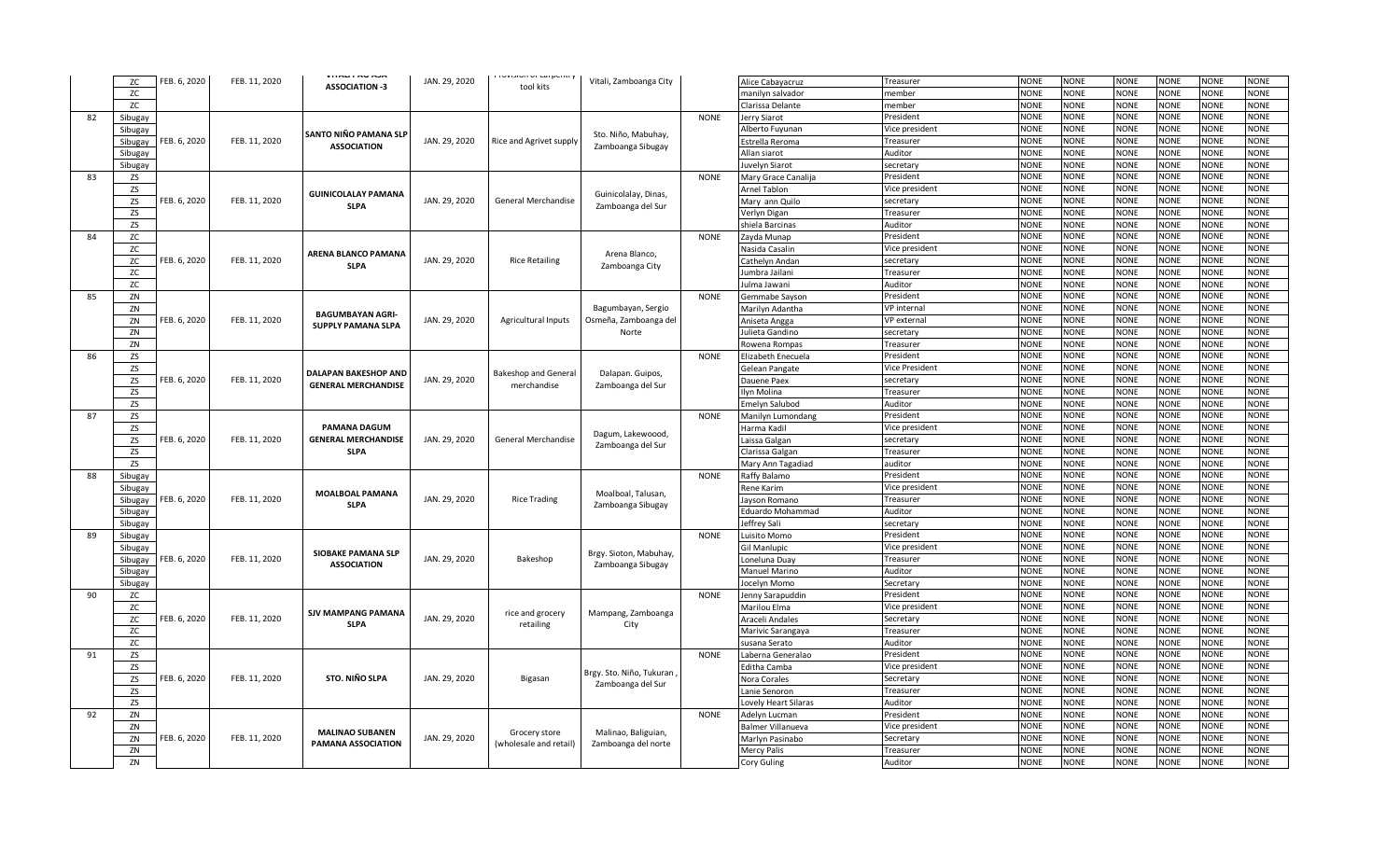|    |           |              |               | <b>VIINLIINVMJM</b>        |               | <b>TOYISION OF COLPETIU</b> |                          |             |                          |                       |             |             |             |             |             |             |
|----|-----------|--------------|---------------|----------------------------|---------------|-----------------------------|--------------------------|-------------|--------------------------|-----------------------|-------------|-------------|-------------|-------------|-------------|-------------|
|    | ZC        | FEB. 6, 2020 | FEB. 11, 2020 | <b>ASSOCIATION -3</b>      | JAN. 29, 2020 | tool kits                   | Vitali, Zamboanga City   |             | Alice Cabayacruz         | Treasurer             | <b>NONE</b> | <b>NONE</b> | <b>NONE</b> | <b>NONE</b> | <b>NONE</b> | <b>NONE</b> |
|    | ZC        |              |               |                            |               |                             |                          |             | manilyn salvador         | member                | <b>NONE</b> | <b>NONE</b> | <b>VONE</b> | <b>NONE</b> | <b>NONE</b> | <b>NONE</b> |
|    | ZC        |              |               |                            |               |                             |                          |             | Clarissa Delante         | member                | <b>NONE</b> | <b>NONE</b> | <b>VONE</b> | <b>NONE</b> | <b>NONE</b> | <b>NONE</b> |
| 82 | Sibugay   |              |               |                            |               |                             |                          | <b>NONE</b> | lerry Siarot             | President             | NONE        | <b>NONE</b> | VONE        | <b>NONE</b> | <b>NONE</b> | <b>NONE</b> |
|    | Sibugay   |              |               | SANTO NIÑO PAMANA SLP      |               |                             | Sto. Niño, Mabuhay,      |             | Alberto Fuyunan          | Vice president        | <b>NONE</b> | <b>NONE</b> | <b>NONE</b> | <b>NONE</b> | <b>NONE</b> | <b>NONE</b> |
|    | Sibugay   | FEB. 6, 2020 | FEB. 11, 2020 | <b>ASSOCIATION</b>         | JAN. 29, 2020 | Rice and Agrivet supply     |                          |             | Estrella Reroma          | Treasurer             | <b>NONE</b> | NONE        | <b>NONE</b> | <b>NONE</b> | NONE        | NONE        |
|    | Sibugay   |              |               |                            |               |                             | Zamboanga Sibugay        |             | Allan siarot             | Auditor               | <b>NONE</b> | <b>NONE</b> | <b>NONE</b> | <b>NONE</b> | <b>NONE</b> | <b>NONE</b> |
|    | Sibugay   |              |               |                            |               |                             |                          |             | uvelyn Siarot            | secretary             | NONE        | <b>JONE</b> | <b>VONE</b> | <b>NONE</b> | <b>NONE</b> | <b>NONE</b> |
| 83 | ZS        |              |               |                            |               |                             |                          | <b>NONE</b> | Mary Grace Canalija      | President             | <b>NONE</b> | <b>NONE</b> | <b>VONE</b> | <b>NONE</b> | <b>NONE</b> | <b>NONE</b> |
|    | ZS        |              |               |                            |               |                             |                          |             | Arnel Tablon             | Vice president        | <b>NONE</b> | NONE        | <b>VONE</b> | NONE        | NONE        | <b>NONE</b> |
|    | ZS        | FEB. 6, 2020 | FEB. 11, 2020 | <b>GUINICOLALAY PAMANA</b> | JAN. 29, 2020 | General Merchandise         | Guinicolalay, Dinas,     |             | Mary ann Quilo           | secretary             | NONE        | <b>NONE</b> | <b>VONE</b> | <b>NONE</b> | <b>NONE</b> | <b>NONE</b> |
|    | <b>ZS</b> |              |               | <b>SLPA</b>                |               |                             | Zamboanga del Sur        |             | Verlyn Digan             | Treasurer             | <b>NONE</b> | <b>NONE</b> | <b>NONE</b> | <b>NONE</b> | <b>NONE</b> | <b>NONE</b> |
|    | <b>ZS</b> |              |               |                            |               |                             |                          |             | shiela Barcinas          | Auditor               | <b>NONE</b> | NONE        | <b>NONE</b> | <b>NONE</b> | NONE        | <b>NONE</b> |
| 84 | ZC        |              |               |                            |               |                             |                          | <b>NONE</b> | Zayda Munap              | President             | <b>NONE</b> | <b>NONE</b> | <b>NONE</b> | <b>NONE</b> | <b>NONE</b> | <b>NONE</b> |
|    | ZC        |              |               |                            |               |                             |                          |             | lasida Casalin           | Vice president        | NONE        | NONE        | <b>VONE</b> | NONE        | NONE        | NONE        |
|    | ZC        | FEB. 6, 2020 | FEB. 11, 2020 | ARENA BLANCO PAMANA        | JAN. 29, 2020 | <b>Rice Retailing</b>       | Arena Blanco,            |             | Cathelyn Andan           | secretary             | <b>NONE</b> | NONE        | <b>NONE</b> | <b>NONE</b> | <b>NONE</b> | <b>NONE</b> |
|    | ZC        |              |               | <b>SLPA</b>                |               |                             | Zamboanga City           |             | umbra Jailani            | Treasurer             | <b>NONE</b> | <b>NONE</b> | <b>VONE</b> | <b>NONE</b> | <b>NONE</b> | <b>NONE</b> |
|    | <b>ZC</b> |              |               |                            |               |                             |                          |             |                          | Auditor               | <b>NONE</b> | <b>JONE</b> | <b>VONE</b> | <b>NONE</b> | <b>NONE</b> | <b>NONE</b> |
|    |           |              |               |                            |               |                             |                          |             | ulma Jawani              |                       | <b>NONE</b> | <b>NONE</b> | <b>VONE</b> | <b>NONE</b> | <b>NONE</b> | <b>NONE</b> |
| 85 | ZN        |              |               |                            |               |                             |                          | <b>NONE</b> | Gemmabe Sayson           | President             |             |             |             |             |             |             |
|    | ZN        |              |               | <b>BAGUMBAYAN AGRI-</b>    |               |                             | Bagumbayan, Sergio       |             | Marilyn Adantha          | VP internal           | <b>NONE</b> | <b>NONE</b> | <b>NONE</b> | <b>NONE</b> | <b>NONE</b> | <b>NONE</b> |
|    | ZN        | FEB. 6, 2020 | FEB. 11, 2020 | <b>SUPPLY PAMANA SLPA</b>  | JAN. 29, 2020 | <b>Agricultural Inputs</b>  | Osmeña, Zamboanga del    |             | Aniseta Angga            | VP external           | <b>NONE</b> | <b>NONE</b> | <b>VONE</b> | <b>NONE</b> | <b>NONE</b> | <b>NONE</b> |
|    | ZN        |              |               |                            |               |                             | Norte                    |             | ulieta Gandino           | secretary             | <b>NONE</b> | <b>NONE</b> | <b>VONE</b> | <b>NONE</b> | <b>NONE</b> | <b>NONE</b> |
|    | ZN        |              |               |                            |               |                             |                          |             | Rowena Rompas            | Treasurer             | <b>NONE</b> | <b>NONE</b> | <b>NONE</b> | <b>NONE</b> | <b>NONE</b> | <b>NONE</b> |
| 86 | <b>ZS</b> |              |               |                            |               |                             |                          | <b>NONE</b> | lizabeth Enecuela        | President             | <b>NONE</b> | <b>NONE</b> | <b>VONE</b> | <b>NONE</b> | <b>NONE</b> | <b>NONE</b> |
|    | <b>ZS</b> |              |               | DALAPAN BAKESHOP AND       |               | <b>Bakeshop and General</b> | Dalapan. Guipos,         |             | Gelean Pangate           | <b>Vice President</b> | <b>NONE</b> | <b>NONE</b> | <b>VONE</b> | <b>NONE</b> | <b>NONE</b> | <b>NONE</b> |
|    | ZS        | FEB. 6, 2020 | FEB. 11, 2020 | <b>GENERAL MERCHANDISE</b> | JAN. 29, 2020 | merchandise                 | Zamboanga del Sur        |             | Dauene Paex              | secretary             | <b>NONE</b> | <b>NONE</b> | <b>VONE</b> | <b>NONE</b> | <b>NONE</b> | <b>NONE</b> |
|    | <b>ZS</b> |              |               |                            |               |                             |                          |             | lvn Molina               | Treasurer             | <b>NONE</b> | <b>NONE</b> | <b>VONE</b> | <b>NONE</b> | <b>NONE</b> | <b>NONE</b> |
|    | ZS        |              |               |                            |               |                             |                          |             | Emelyn Salubod           | Auditor               | <b>NONE</b> | NONE        | <b>NONE</b> | <b>NONE</b> | <b>NONE</b> | <b>NONE</b> |
| 87 | ZS        |              |               |                            |               |                             |                          | <b>NONE</b> | Manilyn Lumondang        | President             | <b>NONE</b> | <b>NONE</b> | <b>VONE</b> | <b>NONE</b> | <b>NONE</b> | <b>NONE</b> |
|    | <b>ZS</b> |              |               | PAMANA DAGUM               |               |                             | Dagum, Lakewoood,        |             | Harma Kadil              | Vice president        | <b>NONE</b> | NONE        | NONE        | <b>NONE</b> | <b>NONE</b> | <b>NONE</b> |
|    | ZS        | FEB. 6, 2020 | FEB. 11, 2020 | <b>GENERAL MERCHANDISE</b> | JAN. 29, 2020 | General Merchandise         | Zamboanga del Sur        |             | aissa Galgan             | secretary             | <b>NONE</b> | <b>NONE</b> | <b>NONE</b> | <b>NONE</b> | <b>NONE</b> | <b>NONE</b> |
|    | <b>ZS</b> |              |               | <b>SLPA</b>                |               |                             |                          |             | larissa Galgan           | Treasurer             | NONE        | NONE        | VONE        | <b>NONE</b> | NONE        | NONE        |
|    | <b>ZS</b> |              |               |                            |               |                             |                          |             | Mary Ann Tagadiad        | auditor               | <b>NONE</b> | <b>NONE</b> | <b>VONE</b> | <b>NONE</b> | <b>NONE</b> | <b>NONE</b> |
| 88 | Sibugay   |              |               |                            |               |                             |                          | <b>NONE</b> | Raffy Balamo             | President             | <b>NONE</b> | <b>NONE</b> | <b>VONE</b> | <b>NONE</b> | <b>NONE</b> | <b>NONE</b> |
|    | Sibugay   |              |               | <b>MOALBOAL PAMANA</b>     |               |                             | Moalboal, Talusan,       |             | Rene Karim               | Vice president        | <b>NONE</b> | <b>NONE</b> | <b>NONE</b> | <b>NONE</b> | <b>NONE</b> | <b>NONE</b> |
|    | Sibugay   | FEB. 6, 2020 | FEB. 11, 2020 | <b>SLPA</b>                | JAN. 29, 2020 | <b>Rice Trading</b>         |                          |             | layson Romano            | Treasurer             | <b>NONE</b> | <b>NONE</b> | <b>VONE</b> | <b>NONE</b> | <b>NONE</b> | <b>NONE</b> |
|    | Sibugay   |              |               |                            |               |                             | Zamboanga Sibugay        |             | Eduardo Mohammad         | Auditor               | <b>NONE</b> | NONE        | NONE        | <b>NONE</b> | NONE        | NONE        |
|    | Sibugay   |              |               |                            |               |                             |                          |             | leffrey Sali             | secretary             | <b>NONE</b> | <b>NONE</b> | <b>NONE</b> | <b>NONE</b> | <b>NONE</b> | <b>NONE</b> |
| 89 | Sibugay   |              |               |                            |               |                             |                          | <b>NONE</b> | uisito Momo              | President             | <b>NONE</b> | <b>NONE</b> | <b>VONE</b> | <b>NONE</b> | <b>NONE</b> | <b>NONE</b> |
|    | Sibugay   |              |               |                            |               |                             |                          |             | iil Manlupic             | Vice president        | <b>VONE</b> | <b>NONE</b> | <b>VONE</b> | <b>NONE</b> | <b>NONE</b> | <b>NONE</b> |
|    | Sibugay   | FEB. 6, 2020 | FEB. 11, 2020 | <b>SIOBAKE PAMANA SLP</b>  | JAN. 29, 2020 | Bakeshop                    | Brgy. Sioton, Mabuhay,   |             | oneluna Duay             | Treasurer             | <b>NONE</b> | <b>NONE</b> | <b>VONE</b> | <b>NONE</b> | <b>NONE</b> | <b>NONE</b> |
|    | Sibugay   |              |               | <b>ASSOCIATION</b>         |               |                             | Zamboanga Sibugay        |             | Manuel Marino            | Auditor               | <b>NONE</b> | <b>NONE</b> | <b>NONE</b> | <b>NONE</b> | <b>NONE</b> | <b>NONE</b> |
|    | Sibugay   |              |               |                            |               |                             |                          |             | ocelyn Momo              | Secretary             | <b>NONE</b> | <b>NONE</b> | <b>VONE</b> | <b>NONE</b> | <b>NONE</b> | <b>NONE</b> |
| 90 | ZC        |              |               |                            |               |                             |                          | <b>NONE</b> | Jenny Sarapuddir         | President             | <b>NONE</b> | NONE        | NONE        | <b>NONE</b> | NONE        | <b>NONE</b> |
|    | ZC        |              |               |                            |               |                             |                          |             | Marilou Elma             | Vice president        | <b>NONE</b> | <b>NONE</b> | <b>NONE</b> | <b>NONE</b> | <b>NONE</b> | <b>NONE</b> |
|    | ZC        | FEB. 6, 2020 | FEB. 11, 2020 | <b>SJV MAMPANG PAMANA</b>  | JAN. 29, 2020 | rice and grocery            | Mampang, Zamboanga       |             | Araceli Andales          | Secretary             | <b>NONE</b> | <b>NONE</b> | <b>VONE</b> | <b>NONE</b> | <b>NONE</b> | <b>NONE</b> |
|    | ZC        |              |               | <b>SLPA</b>                |               | retailing                   | City                     |             | Marivic Sarangaya        | Treasurer             | <b>NONE</b> | <b>NONE</b> | <b>VONE</b> | NONE        | <b>NONE</b> | <b>NONE</b> |
|    | ZC        |              |               |                            |               |                             |                          |             | susana Serato            | Auditor               | <b>NONE</b> | <b>NONE</b> | <b>VONE</b> | <b>NONE</b> | <b>NONE</b> | <b>NONE</b> |
| 91 | ZS        |              |               |                            |               |                             |                          | <b>NONE</b> | aberna Generalao         | President             | <b>NONE</b> | NONE        | NONE        | <b>NONE</b> | NONE        | NONE        |
|    | ZS        |              |               |                            |               |                             |                          |             | ditha Camba              | Vice president        | <b>NONE</b> | <b>NONE</b> | <b>VONE</b> | <b>NONE</b> | <b>NONE</b> | <b>NONE</b> |
|    | <b>ZS</b> | FEB. 6, 2020 | FEB. 11, 2020 | <b>STO. NIÑO SLPA</b>      | JAN. 29, 2020 | Bigasan                     | Brgy. Sto. Niño, Tukuran |             |                          | Secretary             | <b>NONE</b> | <b>NONE</b> | <b>NONE</b> | <b>NONE</b> | <b>NONE</b> | <b>NONE</b> |
|    |           |              |               |                            |               |                             | Zamboanga del Sur        |             | Nora Corales             |                       | <b>NONE</b> |             | <b>NONE</b> |             |             |             |
|    | <b>ZS</b> |              |               |                            |               |                             |                          |             | Lanie Senoron            | Treasurer             |             | <b>NONE</b> |             | NONE        | <b>NONE</b> | NONE        |
|    | ZS        |              |               |                            |               |                             |                          |             | ovely Heart Silaras      | Auditor               | <b>NONE</b> | <b>NONE</b> | <b>NONE</b> | <b>NONE</b> | <b>NONE</b> | <b>NONE</b> |
| 92 | ZN        |              |               |                            |               |                             |                          | <b>NONE</b> | Adelyn Lucman            | President             | <b>NONE</b> | <b>NONE</b> | <b>VONE</b> | <b>NONE</b> | <b>NONE</b> | <b>NONE</b> |
|    | ZN        |              |               | <b>MALINAO SUBANEN</b>     |               | Grocery store               | Malinao, Baliguian,      |             | <b>Balmer Villanueva</b> | Vice president        | <b>NONE</b> | <b>NONE</b> | <b>VONE</b> | <b>NONE</b> | <b>NONE</b> | <b>NONE</b> |
|    | ZN        | FEB. 6, 2020 | FEB. 11, 2020 | <b>PAMANA ASSOCIATION</b>  | JAN. 29, 2020 | (wholesale and retail)      | Zamboanga del norte      |             | Marlyn Pasinabo          | Secretary             | <b>NONE</b> | <b>NONE</b> | <b>VONE</b> | <b>NONE</b> | <b>NONE</b> | <b>NONE</b> |
|    | ZN        |              |               |                            |               |                             |                          |             | Mercy Palis              | Treasurer             | NONE        | <b>VONE</b> | <b>NONE</b> | <b>NONE</b> | <b>NONE</b> | <b>NONE</b> |
|    | ZN        |              |               |                            |               |                             |                          |             | Cory Guling              | Auditor               | <b>NONE</b> | <b>NONE</b> | <b>NONE</b> | <b>NONE</b> | <b>NONE</b> | <b>NONE</b> |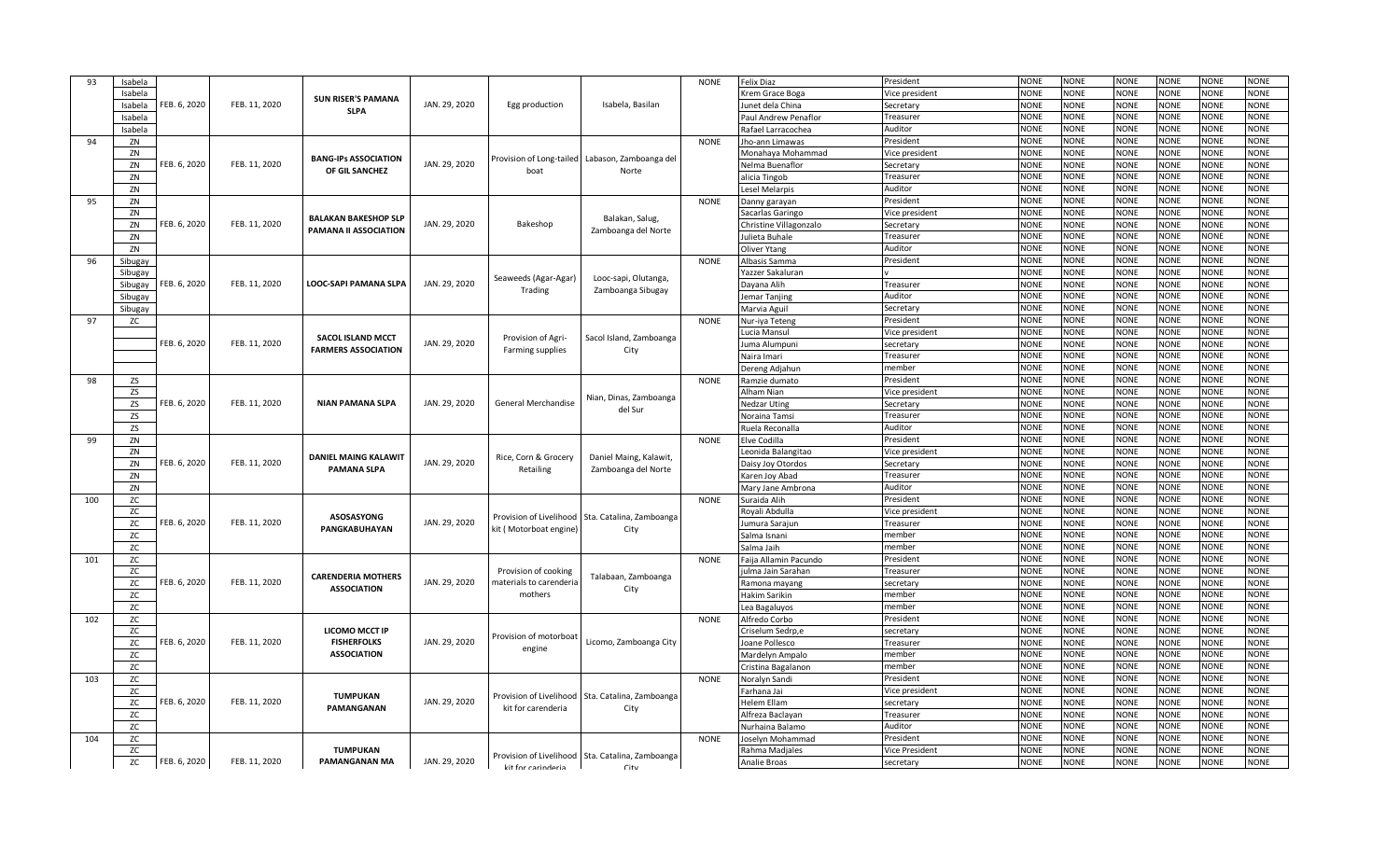| 93  | Isabela   |              |               |                              |               |                         |                                                  | <b>NONE</b> | <b>Felix Diaz</b>              | President           | <b>NONE</b>                | <b>NONE</b>                | <b>NONE</b>                | <b>NONE</b>                | <b>NONE</b>                | <b>NONE</b>                |
|-----|-----------|--------------|---------------|------------------------------|---------------|-------------------------|--------------------------------------------------|-------------|--------------------------------|---------------------|----------------------------|----------------------------|----------------------------|----------------------------|----------------------------|----------------------------|
|     | Isabela   |              |               |                              |               |                         |                                                  |             | Krem Grace Boga                | lice president      | <b>NONE</b>                | <b>NONE</b>                | <b>NONE</b>                | <b>NONE</b>                | <b>NONE</b>                | <b>NONE</b>                |
|     | Isabela   | FEB. 6, 2020 | FEB. 11, 2020 | <b>SUN RISER'S PAMANA</b>    | JAN. 29, 2020 | Egg production          | Isabela, Basilan                                 |             | Junet dela China               | Secretary           | <b>NONE</b>                | <b>NONE</b>                | <b>NONE</b>                | <b>NONE</b>                | <b>NONE</b>                | <b>NONE</b>                |
|     | Isabela   |              |               | <b>SLPA</b>                  |               |                         |                                                  |             | Paul Andrew Penaflor           | Treasurer           | <b>NONE</b>                | <b>NONE</b>                | <b>NONE</b>                | <b>NONE</b>                | <b>NONE</b>                | <b>NONE</b>                |
|     | Isabela   |              |               |                              |               |                         |                                                  |             | Rafael Larracochea             | Auditor             | <b>NONE</b>                | <b>NONE</b>                | <b>NONE</b>                | <b>NONE</b>                | <b>NONE</b>                | <b>NONE</b>                |
| 94  | ZN        |              |               |                              |               |                         |                                                  | <b>NONE</b> | Jho-ann Limawas                | President           | <b>NONE</b>                | <b>NONE</b>                | <b>NONE</b>                | <b>NONE</b>                | <b>NONE</b>                | <b>NONE</b>                |
|     | ZN        |              |               |                              |               |                         |                                                  |             | Monahaya Mohammad              | Vice president      | <b>NONE</b>                | <b>NONE</b>                | <b>NONE</b>                | <b>NONE</b>                | <b>NONE</b>                | <b>NONE</b>                |
|     | ZN        | FEB. 6, 2020 | FEB. 11, 2020 | <b>BANG-IPS ASSOCIATION</b>  | JAN. 29, 2020 |                         | Provision of Long-tailed Labason, Zamboanga del  |             | Nelma Buenaflor                | Secretary           | <b>NONE</b>                | <b>NONE</b>                | <b>NONE</b>                | <b>NONE</b>                | <b>NONE</b>                | <b>NONE</b>                |
|     | ZN        |              |               | OF GIL SANCHEZ               |               | boat                    | Norte                                            |             | alicia Tingob                  | Treasurer           | <b>NONE</b>                | <b>NONE</b>                | <b>NONE</b>                | <b>NONE</b>                | <b>NONE</b>                | <b>VONE</b>                |
|     | ZN        |              |               |                              |               |                         |                                                  |             | esel Melarpis                  | Auditor             | <b>NONE</b>                | <b>NONE</b>                | <b>NONE</b>                | <b>NONE</b>                | <b>NONE</b>                | <b>NONE</b>                |
| 95  | ZN        |              |               |                              |               |                         |                                                  | <b>NONE</b> | Danny garayan                  | President           | <b>NONE</b>                | <b>NONE</b>                | <b>NONE</b>                | <b>NONE</b>                | <b>NONE</b>                | <b>NONE</b>                |
|     | ZN        |              |               | <b>BALAKAN BAKESHOP SLP</b>  |               |                         |                                                  |             | Sacarlas Garingo               | Vice president      | <b>NONE</b>                | <b>NONE</b>                | <b>NONE</b>                | <b>NONE</b>                | <b>NONE</b>                | <b>NONE</b>                |
|     | ZN        | FEB. 6, 2020 | FEB. 11, 2020 | <b>PAMANA II ASSOCIATION</b> | JAN. 29, 2020 | Bakeshop                | Balakan, Salug,                                  |             | Christine Villagonzalo         | Secretary           | <b>NONE</b>                | <b>NONE</b>                | <b>NONE</b>                | <b>NONE</b>                | <b>NONE</b>                | NONE                       |
|     | ZN        |              |               |                              |               |                         | Zamboanga del Norte                              |             | Julieta Buhale                 | Treasurer           | <b>NONE</b>                | <b>NONE</b>                | <b>NONE</b>                | <b>NONE</b>                | <b>NONE</b>                | <b>NONE</b>                |
|     | ZN        |              |               |                              |               |                         |                                                  |             | Oliver Ytang                   | Auditor             | <b>NONE</b>                | <b>NONE</b>                | <b>NONE</b>                | <b>NONE</b>                | <b>NONE</b>                | <b>NONE</b>                |
| 96  | Sibugay   |              |               |                              |               |                         |                                                  | <b>NONE</b> | Albasis Samma                  | President           | <b>NONE</b>                | <b>NONE</b>                | <b>NONE</b>                | <b>NONE</b>                | <b>NONE</b>                | NONE                       |
|     | Sibugay   |              |               |                              |               | Seaweeds (Agar-Agar)    |                                                  |             | Yazzer Sakaluran               |                     | <b>NONE</b>                | <b>NONE</b>                | <b>NONE</b>                | <b>NONE</b>                | <b>NONE</b>                | <b>NONE</b>                |
|     | Sibugay   | FEB. 6, 2020 | FEB. 11, 2020 | <b>LOOC-SAPI PAMANA SLPA</b> | JAN. 29, 2020 | Trading                 | Looc-sapi, Olutanga,<br>Zamboanga Sibugay        |             | Dayana Alih                    | Treasurer           | <b>NONE</b>                | <b>NONE</b>                | <b>NONE</b>                | <b>NONE</b>                | <b>NONE</b>                | <b>VONE</b>                |
|     | Sibugay   |              |               |                              |               |                         |                                                  |             | emar Tanjing                   | Auditor             | <b>NONE</b>                | <b>NONE</b>                | <b>NONE</b>                | <b>NONE</b>                | <b>NONE</b>                | <b>NONE</b>                |
|     | Sibugay   |              |               |                              |               |                         |                                                  |             | Marvia Aguil                   | Secretary           | <b>NONE</b>                | <b>NONE</b>                | <b>NONE</b>                | <b>NONE</b>                | <b>NONE</b>                | <b>NONE</b>                |
| 97  | ZC        |              |               |                              |               |                         |                                                  | <b>NONE</b> | Nur-iya Teten                  | President           | <b>NONE</b>                | <b>NONE</b>                | <b>NONE</b>                | <b>NONE</b>                | <b>NONE</b>                | <b>NONE</b>                |
|     |           |              |               | <b>SACOL ISLAND MCCT</b>     |               | Provision of Agri-      | Sacol Island, Zamboanga                          |             | Lucia Mansul                   | Vice president      | <b>NONE</b>                | <b>NONE</b>                | <b>NONE</b>                | <b>NONE</b>                | <b>NONE</b>                | <b>NONE</b>                |
|     |           | FEB. 6, 2020 | FEB. 11, 2020 | <b>FARMERS ASSOCIATION</b>   | JAN. 29, 2020 | Farming supplies        | City                                             |             | luma Alumpuni                  | secretary           | <b>NONE</b>                | <b>NONE</b>                | <b>NONE</b>                | <b>NONE</b>                | NONE                       | <b>NONE</b>                |
|     |           |              |               |                              |               |                         |                                                  |             | Naira Imari                    | Treasurer           | <b>NONE</b>                | <b>NONE</b>                | <b>NONE</b>                | <b>NONE</b>                | <b>NONE</b>                | <b>NONE</b>                |
|     |           |              |               |                              |               |                         |                                                  |             | Dereng Adjahun                 | member              | <b>NONE</b>                | <b>NONE</b>                | <b>NONE</b>                | <b>NONE</b>                | <b>NONE</b>                | <b>NONE</b>                |
| 98  | ZS        |              |               |                              |               |                         |                                                  | <b>NONE</b> | Ramzie dumato                  | President           | <b>NONE</b>                | <b>NONE</b>                | <b>NONE</b>                | <b>NONE</b>                | <b>NONE</b>                | <b>NONE</b>                |
|     | ZS        |              |               |                              |               |                         | Nian, Dinas, Zamboanga                           |             | Alham Nian                     | Vice president      | <b>NONE</b>                | <b>NONE</b>                | <b>NONE</b>                | <b>NONE</b>                | <b>NONE</b>                | <b>NONE</b>                |
|     | ZS        | FEB. 6, 2020 | FEB. 11, 2020 | <b>NIAN PAMANA SLPA</b>      | JAN. 29, 2020 | General Merchandise     | del Sur                                          |             | <b>Nedzar Uting</b>            | Secretary           | <b>NONE</b>                | <b>NONE</b>                | <b>NONE</b>                | <b>NONE</b>                | <b>NONE</b>                | <b>NONE</b>                |
|     | ZS        |              |               |                              |               |                         |                                                  |             | Noraina Tamsi                  | Treasurer           | <b>NONE</b>                | <b>NONE</b>                | <b>NONE</b>                | <b>NONE</b>                | <b>NONE</b>                | <b>NONE</b>                |
|     | <b>ZS</b> |              |               |                              |               |                         |                                                  |             | Ruela Reconalla                | Auditor             | <b>NONE</b>                | <b>NONE</b>                | <b>NONE</b>                | <b>NONE</b>                | <b>NONE</b>                | <b>NONE</b>                |
| 99  | ZN        |              |               |                              |               |                         |                                                  | <b>NONE</b> | Elve Codilla                   | President           | <b>NONE</b>                | <b>NONE</b>                | <b>NONE</b>                | <b>NONE</b>                | <b>NONE</b>                | <b>NONE</b>                |
|     | ZN        |              |               | <b>DANIEL MAING KALAWIT</b>  |               | Rice, Corn & Grocery    | Daniel Maing, Kalawit,                           |             | Leonida Balangitao             | Vice president      | <b>NONE</b>                | <b>NONE</b>                | <b>NONE</b>                | <b>NONE</b>                | <b>NONE</b>                | <b>NONE</b>                |
|     | ZN        | FEB. 6, 2020 | FEB. 11, 2020 | <b>PAMANA SLPA</b>           | JAN. 29, 2020 | Retailing               | Zamboanga del Norte                              |             | Daisy Joy Otordos              | Secretary           | <b>NONE</b>                | <b>NONE</b>                | <b>NONE</b>                | <b>NONE</b>                | <b>NONE</b>                | <b>NONE</b>                |
|     | ZN        |              |               |                              |               |                         |                                                  |             | Karen Joy Abad                 | Treasurer           | <b>NONE</b>                | <b>NONE</b>                | <b>NONE</b>                | <b>NONE</b>                | <b>NONE</b>                | <b>VONE</b>                |
|     | ZN        |              |               |                              |               |                         |                                                  |             | Mary Jane Ambrona              | Auditor             | <b>NONE</b>                | <b>NONE</b>                | <b>NONE</b>                | <b>NONE</b>                | <b>NONE</b>                | <b>NONE</b>                |
| 100 | ZC        |              |               |                              |               |                         |                                                  | <b>NONE</b> | Suraida Alih                   | President           | <b>NONE</b>                | <b>NONE</b>                | <b>NONE</b>                | <b>NONE</b>                | <b>NONE</b>                | <b>NONE</b>                |
|     | ZC        |              |               | ASOSASYONG                   |               | Provision of Livelihood | Sta. Catalina, Zamboanga                         |             | Royali Abdulla                 | Vice president      | <b>NONE</b>                | <b>NONE</b>                | <b>NONE</b>                | <b>NONE</b>                | <b>NONE</b>                | <b>NONE</b>                |
|     | ZC        | FEB. 6, 2020 | FEB. 11, 2020 | <b>PANGKABUHAYAN</b>         | JAN. 29, 2020 | kit (Motorboat engine)  | City                                             |             | Jumura Sarajun                 | Treasurer           | <b>NONE</b>                | <b>NONE</b>                | <b>NONE</b>                | <b>NONE</b>                | <b>NONE</b>                | <b>NONE</b>                |
|     | ZC        |              |               |                              |               |                         |                                                  |             | Salma Isnani                   | member              | <b>NONE</b>                | <b>NONE</b>                | <b>NONE</b>                | <b>NONE</b>                | <b>NONE</b>                | <b>NONE</b>                |
|     | ZC        |              |               |                              |               |                         |                                                  |             | Salma Jaih                     | member              | <b>NONE</b><br><b>NONE</b> | <b>NONE</b>                | <b>NONE</b>                | <b>NONE</b><br><b>NONE</b> | <b>NONE</b>                | <b>NONE</b><br><b>VONE</b> |
| 101 | ZC<br>ZC  |              |               |                              |               | Provision of cooking    |                                                  | <b>NONE</b> | Faija Allamin Pacundo          | President           | <b>NONE</b>                | <b>NONE</b><br><b>NONE</b> | <b>NONE</b><br><b>NONE</b> | <b>NONE</b>                | <b>NONE</b><br><b>NONE</b> | <b>NONE</b>                |
|     | <b>ZC</b> | FEB. 6, 2020 | FEB. 11, 2020 | <b>CARENDERIA MOTHERS</b>    | JAN. 29, 2020 | materials to carenderia | Talabaan, Zamboanga                              |             | julma Jain Sarahan             | Treasurer           | <b>NONE</b>                | <b>NONE</b>                | <b>NONE</b>                | <b>NONE</b>                | <b>NONE</b>                | <b>NONE</b>                |
|     | ZC        |              |               | <b>ASSOCIATION</b>           |               | mothers                 | City                                             |             | Ramona mayang<br>Hakim Sarikin | secretary<br>member | <b>NONE</b>                | <b>NONE</b>                | <b>NONE</b>                | <b>NONE</b>                | <b>NONE</b>                | <b>VONE</b>                |
|     | ZC        |              |               |                              |               |                         |                                                  |             |                                | member              | <b>NONE</b>                | <b>NONE</b>                | <b>NONE</b>                | <b>NONE</b>                | <b>NONE</b>                | <b>NONE</b>                |
| 102 | ZC        |              |               |                              |               |                         |                                                  | <b>NONE</b> | Lea Bagaluyos<br>Alfredo Corbo | President           | <b>NONE</b>                | <b>NONE</b>                | <b>NONE</b>                | <b>NONE</b>                | <b>NONE</b>                | <b>NONE</b>                |
|     | ZC        |              |               | LICOMO MCCT IP               |               |                         |                                                  |             | Criselum Sedrp,                | secretary           | <b>NONE</b>                | <b>NONE</b>                | <b>NONE</b>                | <b>NONE</b>                | <b>NONE</b>                | <b>NONE</b>                |
|     | ZC        | FEB. 6, 2020 | FEB. 11, 2020 | <b>FISHERFOLKS</b>           | JAN. 29, 2020 | Provision of motorboat  | Licomo, Zamboanga City                           |             | Ioane Pollesco                 | Treasurer           | <b>NONE</b>                | <b>NONE</b>                | <b>NONE</b>                | <b>NONE</b>                | <b>NONE</b>                | <b>NONE</b>                |
|     | ZC        |              |               | <b>ASSOCIATION</b>           |               | engine                  |                                                  |             | Mardelyn Ampalo                | member              | <b>NONE</b>                | <b>NONE</b>                | <b>NONE</b>                | <b>NONE</b>                | <b>NONE</b>                | <b>NONE</b>                |
|     | ZC        |              |               |                              |               |                         |                                                  |             | Cristina Bagalanon             | nember              | <b>NONE</b>                | <b>NONE</b>                | <b>NONE</b>                | <b>NONE</b>                | <b>NONE</b>                | <b>NONE</b>                |
| 103 | ZC        |              |               |                              |               |                         |                                                  | <b>NONE</b> | Noralyn Sandi                  | President           | <b>NONE</b>                | <b>NONE</b>                | <b>NONE</b>                | <b>NONE</b>                | <b>NONE</b>                | <b>NONE</b>                |
|     | ZC        |              |               |                              |               |                         |                                                  |             | arhana Jai                     | Vice president      | <b>NONE</b>                | <b>NONE</b>                | <b>NONE</b>                | <b>NONE</b>                | <b>NONE</b>                | <b>NONE</b>                |
|     | ZC        | FEB. 6, 2020 | FEB. 11, 2020 | <b>TUMPUKAN</b>              | JAN. 29, 2020 | Provision of Livelihood | Sta. Catalina, Zamboanga                         |             | Helem Ellam                    | secretary           | <b>NONE</b>                | <b>NONE</b>                | <b>NONE</b>                | <b>NONE</b>                | <b>NONE</b>                | <b>NONE</b>                |
|     | ZC        |              |               | PAMANGANAN                   |               | kit for carenderia      | City                                             |             | Alfreza Baclayan               | Treasurer           | <b>NONE</b>                | <b>NONE</b>                | <b>NONE</b>                | <b>NONE</b>                | <b>NONE</b>                | <b>NONE</b>                |
|     | ZC        |              |               |                              |               |                         |                                                  |             | Nurhaina Balamo                | Auditor             | <b>NONE</b>                | <b>NONE</b>                | <b>NONE</b>                | <b>NONE</b>                | <b>NONE</b>                | <b>NONE</b>                |
| 104 | ZC        |              |               |                              |               |                         |                                                  | <b>NONE</b> | Joselyn Mohammad               | President           | <b>NONE</b>                | <b>NONE</b>                | <b>NONE</b>                | <b>NONE</b>                | <b>NONE</b>                | <b>NONE</b>                |
|     | ZC        |              |               | <b>TUMPUKAN</b>              |               |                         |                                                  |             | Rahma Madjales                 | Vice President      | <b>NONE</b>                | <b>NONE</b>                | <b>NONE</b>                | <b>NONE</b>                | <b>NONE</b>                | <b>NONE</b>                |
|     | ZC        | FEB. 6, 2020 | FEB. 11, 2020 | PAMANGANAN MA                | JAN. 29, 2020 |                         | Provision of Livelihood Sta. Catalina, Zamboanga |             | <b>Analie Broas</b>            | secretary           | <b>NONE</b>                | <b>NONE</b>                | <b>NONE</b>                | <b>NONE</b>                | <b>NONE</b>                | <b>NONE</b>                |
|     |           |              |               |                              |               | kit for carinderia      | <b>City</b>                                      |             |                                |                     |                            |                            |                            |                            |                            |                            |